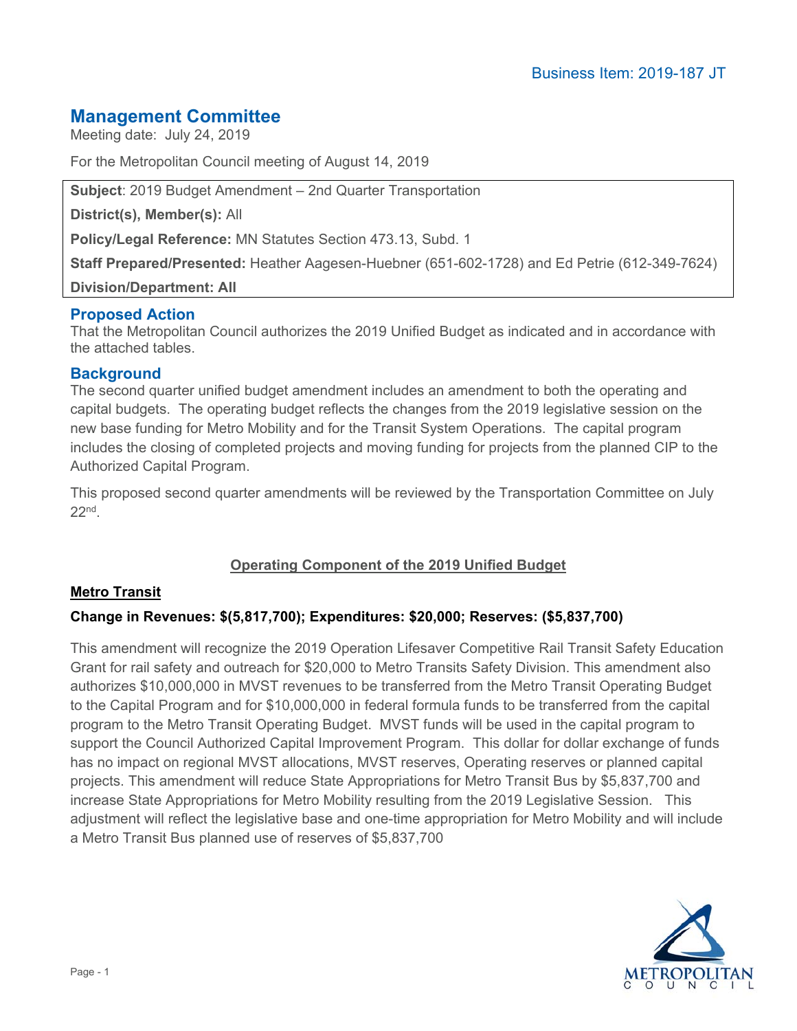# **Management Committee**

Meeting date: July 24, 2019

For the Metropolitan Council meeting of August 14, 2019

**Subject**: 2019 Budget Amendment – 2nd Quarter Transportation

**District(s), Member(s):** All

**Policy/Legal Reference:** MN Statutes Section 473.13, Subd. 1

**Staff Prepared/Presented:** Heather Aagesen-Huebner (651-602-1728) and Ed Petrie (612-349-7624)

**Division/Department: All** 

# **Proposed Action**

That the Metropolitan Council authorizes the 2019 Unified Budget as indicated and in accordance with the attached tables.

### **Background**

The second quarter unified budget amendment includes an amendment to both the operating and capital budgets. The operating budget reflects the changes from the 2019 legislative session on the new base funding for Metro Mobility and for the Transit System Operations. The capital program includes the closing of completed projects and moving funding for projects from the planned CIP to the Authorized Capital Program.

This proposed second quarter amendments will be reviewed by the Transportation Committee on July  $22<sub>nd</sub>$ 

# **Operating Component of the 2019 Unified Budget**

### **Metro Transit**

### **Change in Revenues: \$(5,817,700); Expenditures: \$20,000; Reserves: (\$5,837,700)**

This amendment will recognize the 2019 Operation Lifesaver Competitive Rail Transit Safety Education Grant for rail safety and outreach for \$20,000 to Metro Transits Safety Division. This amendment also authorizes \$10,000,000 in MVST revenues to be transferred from the Metro Transit Operating Budget to the Capital Program and for \$10,000,000 in federal formula funds to be transferred from the capital program to the Metro Transit Operating Budget. MVST funds will be used in the capital program to support the Council Authorized Capital Improvement Program. This dollar for dollar exchange of funds has no impact on regional MVST allocations, MVST reserves, Operating reserves or planned capital projects. This amendment will reduce State Appropriations for Metro Transit Bus by \$5,837,700 and increase State Appropriations for Metro Mobility resulting from the 2019 Legislative Session. This adjustment will reflect the legislative base and one-time appropriation for Metro Mobility and will include a Metro Transit Bus planned use of reserves of \$5,837,700

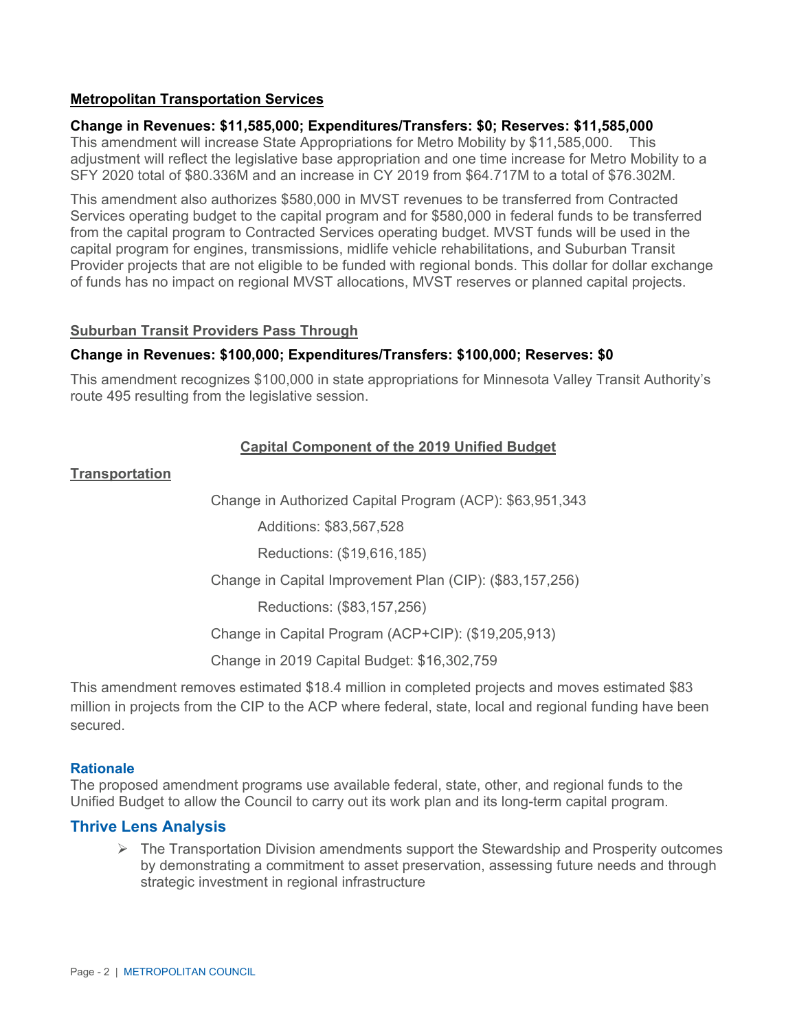### **Metropolitan Transportation Services**

#### **Change in Revenues: \$11,585,000; Expenditures/Transfers: \$0; Reserves: \$11,585,000**

This amendment will increase State Appropriations for Metro Mobility by \$11,585,000. This adjustment will reflect the legislative base appropriation and one time increase for Metro Mobility to a SFY 2020 total of \$80.336M and an increase in CY 2019 from \$64.717M to a total of \$76.302M.

This amendment also authorizes \$580,000 in MVST revenues to be transferred from Contracted Services operating budget to the capital program and for \$580,000 in federal funds to be transferred from the capital program to Contracted Services operating budget. MVST funds will be used in the capital program for engines, transmissions, midlife vehicle rehabilitations, and Suburban Transit Provider projects that are not eligible to be funded with regional bonds. This dollar for dollar exchange of funds has no impact on regional MVST allocations, MVST reserves or planned capital projects.

#### **Suburban Transit Providers Pass Through**

#### **Change in Revenues: \$100,000; Expenditures/Transfers: \$100,000; Reserves: \$0**

This amendment recognizes \$100,000 in state appropriations for Minnesota Valley Transit Authority's route 495 resulting from the legislative session.

#### **Capital Component of the 2019 Unified Budget**

#### **Transportation**

Change in Authorized Capital Program (ACP): \$63,951,343

Additions: \$83,567,528

Reductions: (\$19,616,185)

Change in Capital Improvement Plan (CIP): (\$83,157,256)

Reductions: (\$83,157,256)

Change in Capital Program (ACP+CIP): (\$19,205,913)

Change in 2019 Capital Budget: \$16,302,759

This amendment removes estimated \$18.4 million in completed projects and moves estimated \$83 million in projects from the CIP to the ACP where federal, state, local and regional funding have been secured.

#### **Rationale**

The proposed amendment programs use available federal, state, other, and regional funds to the Unified Budget to allow the Council to carry out its work plan and its long-term capital program.

#### **Thrive Lens Analysis**

 $\triangleright$  The Transportation Division amendments support the Stewardship and Prosperity outcomes by demonstrating a commitment to asset preservation, assessing future needs and through strategic investment in regional infrastructure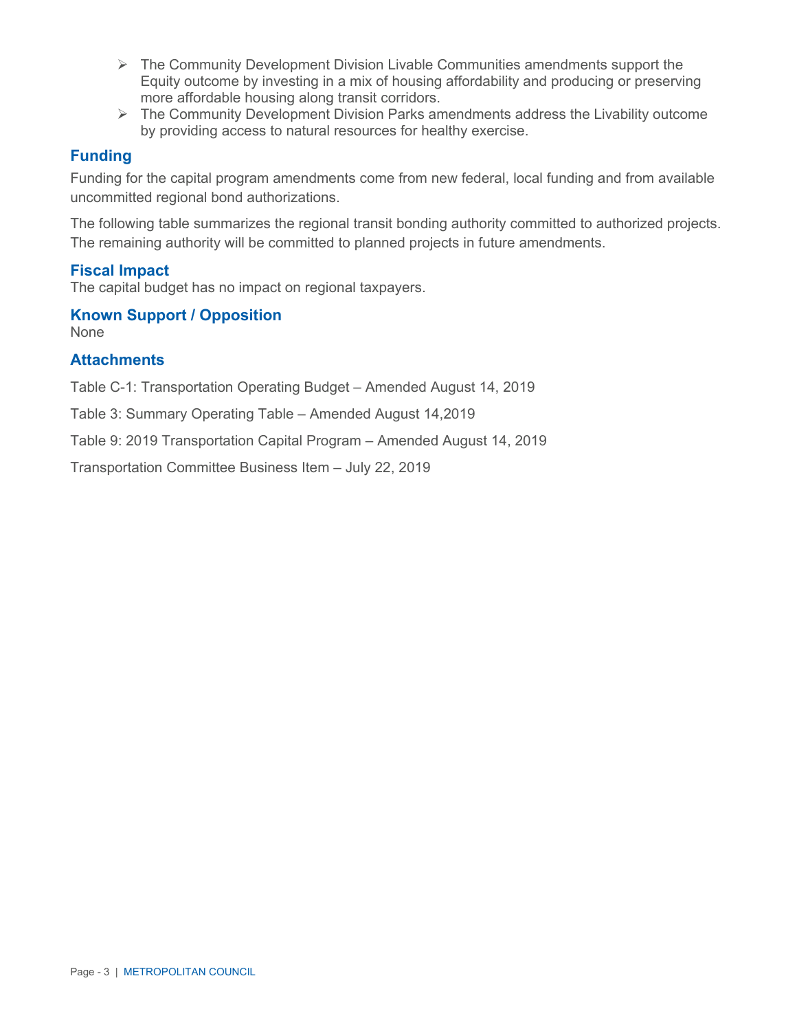- $\triangleright$  The Community Development Division Livable Communities amendments support the Equity outcome by investing in a mix of housing affordability and producing or preserving more affordable housing along transit corridors.
- The Community Development Division Parks amendments address the Livability outcome by providing access to natural resources for healthy exercise.

# **Funding**

Funding for the capital program amendments come from new federal, local funding and from available uncommitted regional bond authorizations.

The following table summarizes the regional transit bonding authority committed to authorized projects. The remaining authority will be committed to planned projects in future amendments.

# **Fiscal Impact**

The capital budget has no impact on regional taxpayers.

# **Known Support / Opposition**

None

# **Attachments**

Table C-1: Transportation Operating Budget – Amended August 14, 2019

Table 3: Summary Operating Table – Amended August 14,2019

Table 9: 2019 Transportation Capital Program – Amended August 14, 2019

Transportation Committee Business Item – July 22, 2019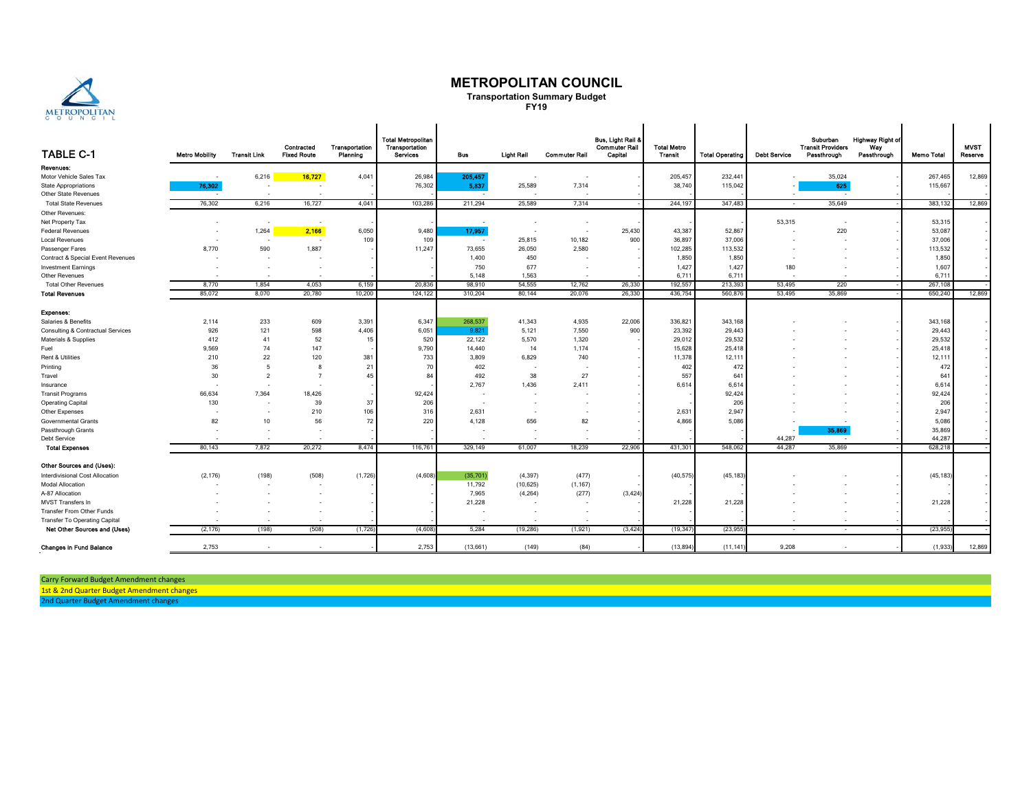

#### **METROPOLITAN COUNCIL**

**Transportation Summary Budget FY19**

 $\mathbf{r}$ 

| <b>TABLE C-1</b>                     | <b>Metro Mobility</b> | <b>Transit Link</b> | Contracted<br><b>Fixed Route</b> | Transportation<br>Planning | <b>Total Metropolitan</b><br>Transportation<br>Services | <b>Bus</b> | <b>Light Rail</b> | <b>Commuter Rail</b> | Bus, Light Rail &<br><b>Commuter Rail</b><br>Capital | <b>Total Metro</b><br>Transit | <b>Total Operating</b> | <b>Debt Service</b> | Suburban<br><b>Transit Providers</b><br>Passthrough | <b>Highway Right of</b><br>Way<br>Passthrough | <b>Memo Total</b> | <b>MVST</b><br>Reserve |
|--------------------------------------|-----------------------|---------------------|----------------------------------|----------------------------|---------------------------------------------------------|------------|-------------------|----------------------|------------------------------------------------------|-------------------------------|------------------------|---------------------|-----------------------------------------------------|-----------------------------------------------|-------------------|------------------------|
| Revenues:                            |                       |                     |                                  |                            |                                                         |            |                   |                      |                                                      |                               |                        |                     |                                                     |                                               |                   |                        |
| Motor Vehicle Sales Tax              |                       | 6,216               | 16,727                           | 4,041                      | 26,984                                                  | 205,457    |                   |                      |                                                      | 205,457                       | 232,441                |                     | 35,024                                              |                                               | 267,465           | 12,869                 |
| <b>State Appropriations</b>          | 76,302                |                     |                                  |                            | 76,302                                                  | 5,837      | 25,589            | 7,314                |                                                      | 38,740                        | 115,042                |                     | 625                                                 |                                               | 115,667           |                        |
| Other State Revenues                 |                       |                     |                                  |                            |                                                         | $\sim$     |                   |                      |                                                      |                               |                        |                     | $\sim$                                              |                                               |                   |                        |
| <b>Total State Revenues</b>          | 76,302                | 6,216               | 16,727                           | 4,041                      | 103,286                                                 | 211,294    | 25,589            | 7,314                |                                                      | 244,197                       | 347,483                | $\sim$              | 35,649                                              |                                               | 383,132           | 12,869                 |
| Other Revenues:                      |                       |                     |                                  |                            |                                                         |            |                   |                      |                                                      |                               |                        |                     |                                                     |                                               |                   |                        |
| Net Property Tax                     |                       |                     |                                  |                            |                                                         |            |                   | ٠                    |                                                      |                               |                        | 53,315              | $\sim$                                              |                                               | 53,315            |                        |
| <b>Federal Revenues</b>              | ٠                     | 1,264               | 2,166                            | 6,050                      | 9,480                                                   | 17,957     | ٠                 | $\sim$               | 25,430                                               | 43,387                        | 52,867                 |                     | 220                                                 |                                               | 53,087            |                        |
| <b>Local Revenues</b>                |                       |                     |                                  | 109                        | 109                                                     |            | 25,815            | 10,182               | 900                                                  | 36,897                        | 37,006                 |                     | . .                                                 |                                               | 37,006            |                        |
| Passenger Fares                      | 8,770                 | 590                 | 1,887                            |                            | 11,247                                                  | 73,655     | 26,050            | 2,580                |                                                      | 102,285                       | 113,532                |                     |                                                     |                                               | 113,532           |                        |
| Contract & Special Event Revenues    |                       |                     |                                  |                            |                                                         | 1,400      | 450               |                      |                                                      | 1,850                         | 1,850                  |                     |                                                     |                                               | 1,850             |                        |
| <b>Investment Earnings</b>           |                       | $\sim$              | $\overline{\phantom{a}}$         |                            |                                                         | 750        | 677               | $\sim$               |                                                      | 1,427                         | 1,427                  | 180                 |                                                     |                                               | 1,607             |                        |
| Other Revenues                       |                       |                     |                                  |                            |                                                         | 5.148      | 1,563             |                      |                                                      | 6,711                         | 6.711                  |                     |                                                     |                                               | 6.711             |                        |
| <b>Total Other Revenues</b>          | 8,770                 | 1,854               | 4,053                            | 6,159                      | 20,836                                                  | 98,910     | 54,555            | 12,762               | 26,330                                               | 192,557                       | 213,393                | 53,495              | 220                                                 |                                               | 267,108           |                        |
| <b>Total Revenues</b>                | 85.072                | 8.070               | 20,780                           | 10,200                     | 124.122                                                 | 310,204    | 80,144            | 20,076               | 26,330                                               | 436,754                       | 560,876                | 53,495              | 35,869                                              |                                               | 650,240           | 12,869                 |
|                                      |                       |                     |                                  |                            |                                                         |            |                   |                      |                                                      |                               |                        |                     |                                                     |                                               |                   |                        |
| Expenses:                            |                       |                     |                                  |                            |                                                         |            |                   |                      |                                                      |                               |                        |                     |                                                     |                                               |                   |                        |
| Salaries & Benefits                  | 2,114                 | 233                 | 609                              | 3,391                      | 6,347                                                   | 268,537    | 41,343            | 4,935                | 22,006                                               | 336,821                       | 343,168                |                     |                                                     |                                               | 343,168           |                        |
| Consulting & Contractual Services    | 926                   | 121                 | 598                              | 4,406                      | 6,051                                                   | 9,821      | 5,121             | 7,550                | 900                                                  | 23,392                        | 29,443                 |                     |                                                     |                                               | 29,443            |                        |
| Materials & Supplies                 | 412                   | 41                  | 52                               | 15                         | 520                                                     | 22,122     | 5,570             | 1,320                |                                                      | 29,012                        | 29,532                 |                     |                                                     |                                               | 29,532            |                        |
| Fuel                                 | 9,569                 | 74                  | 147                              |                            | 9,790                                                   | 14,440     | 14                | 1,174                |                                                      | 15,628                        | 25,418                 |                     |                                                     |                                               | 25,418            |                        |
| Rent & Utilities                     | 210                   | 22                  | 120                              | 381                        | 733                                                     | 3,809      | 6,829             | 740                  |                                                      | 11,378                        | 12,111                 |                     |                                                     |                                               | 12, 11'           |                        |
| Printing                             | 36                    | 5                   | 8                                | 21                         | 70                                                      | 402        |                   |                      |                                                      | 402                           | 472                    |                     |                                                     |                                               | 472               |                        |
| Travel                               | 30                    | $\overline{2}$      | $\overline{ }$                   | 45                         | 84                                                      | 492        | 38                | 27                   |                                                      | 557                           | 641                    |                     |                                                     |                                               | 641               |                        |
| Insurance                            |                       |                     |                                  |                            |                                                         | 2,767      | 1,436             | 2,411                |                                                      | 6,614                         | 6,614                  |                     |                                                     |                                               | 6,614             |                        |
| <b>Transit Programs</b>              | 66,634                | 7,364               | 18,426                           |                            | 92,424                                                  |            |                   |                      |                                                      |                               | 92,424                 |                     |                                                     |                                               | 92,424            |                        |
| <b>Operating Capital</b>             | 130                   |                     | 39                               | 37                         | 206                                                     |            |                   |                      |                                                      |                               | 206                    |                     |                                                     |                                               | 206               |                        |
| Other Expenses                       |                       | ٠                   | 210                              | 106                        | 316                                                     | 2,631      |                   | ٠                    |                                                      | 2,631                         | 2,947                  |                     |                                                     |                                               | 2,947             |                        |
| Governmental Grants                  | 82                    | 10                  | 56                               | 72                         | 220                                                     | 4,128      | 656               | 82                   |                                                      | 4,866                         | 5,086                  |                     | $\sim$                                              |                                               | 5,086             |                        |
| Passthrough Grants                   |                       |                     |                                  |                            |                                                         |            |                   |                      |                                                      |                               |                        |                     | 35,869                                              |                                               | 35,869            |                        |
| Debt Service                         |                       |                     |                                  |                            |                                                         |            |                   |                      |                                                      |                               |                        | 44,287              |                                                     |                                               | 44,287            |                        |
| <b>Total Expenses</b>                | 80,143                | 7,872               | 20,272                           | 8,474                      | 116,761                                                 | 329,149    | 61,007            | 18,239               | 22,906                                               | 431,301                       | 548,062                | 44,287              | 35,869                                              |                                               | 628,218           |                        |
| Other Sources and (Uses):            |                       |                     |                                  |                            |                                                         |            |                   |                      |                                                      |                               |                        |                     |                                                     |                                               |                   |                        |
| Interdivisional Cost Allocation      | (2, 176)              | (198)               | (508)                            | (1,726)                    | (4,608)                                                 | (35,701)   | (4, 397)          | (477)                |                                                      | (40, 575)                     | (45, 183)              |                     |                                                     |                                               | (45, 183)         |                        |
| <b>Modal Allocation</b>              |                       |                     | ٠.                               |                            |                                                         | 11,792     | (10, 625)         | (1, 167)             |                                                      |                               |                        |                     |                                                     |                                               |                   |                        |
| A-87 Allocation                      |                       |                     |                                  |                            |                                                         | 7,965      | (4, 264)          | (277)                | (3, 424)                                             |                               |                        |                     |                                                     |                                               |                   |                        |
| MVST Transfers In                    |                       |                     |                                  |                            |                                                         | 21,228     |                   |                      |                                                      | 21,228                        | 21,228                 |                     |                                                     |                                               | 21,228            |                        |
| Transfer From Other Funds            |                       |                     |                                  |                            |                                                         |            |                   |                      |                                                      |                               |                        |                     |                                                     |                                               |                   |                        |
| <b>Transfer To Operating Capital</b> |                       |                     |                                  |                            |                                                         |            |                   |                      |                                                      |                               |                        | ٠                   |                                                     |                                               |                   |                        |
| Net Other Sources and (Uses)         | (2, 176)              | (198)               | (508)                            | (1,726)                    | (4,608)                                                 | 5,284      | (19, 286)         | (1, 921)             | (3, 424)                                             | (19, 347)                     | (23, 955)              | $\sim$              | $\sim$                                              |                                               | (23, 955)         |                        |
| <b>Changes in Fund Balance</b>       | 2,753                 |                     |                                  |                            | 2.753                                                   | (13,661)   | (149)             | (84)                 |                                                      | (13, 894)                     | (11.141                | 9.208               |                                                     |                                               | (1,933)           | 12,869                 |

Carry Forward Budget Amendment changes

1st & 2nd Quarter Budget Amendment changes

2nd Quarter Budget Amendment changes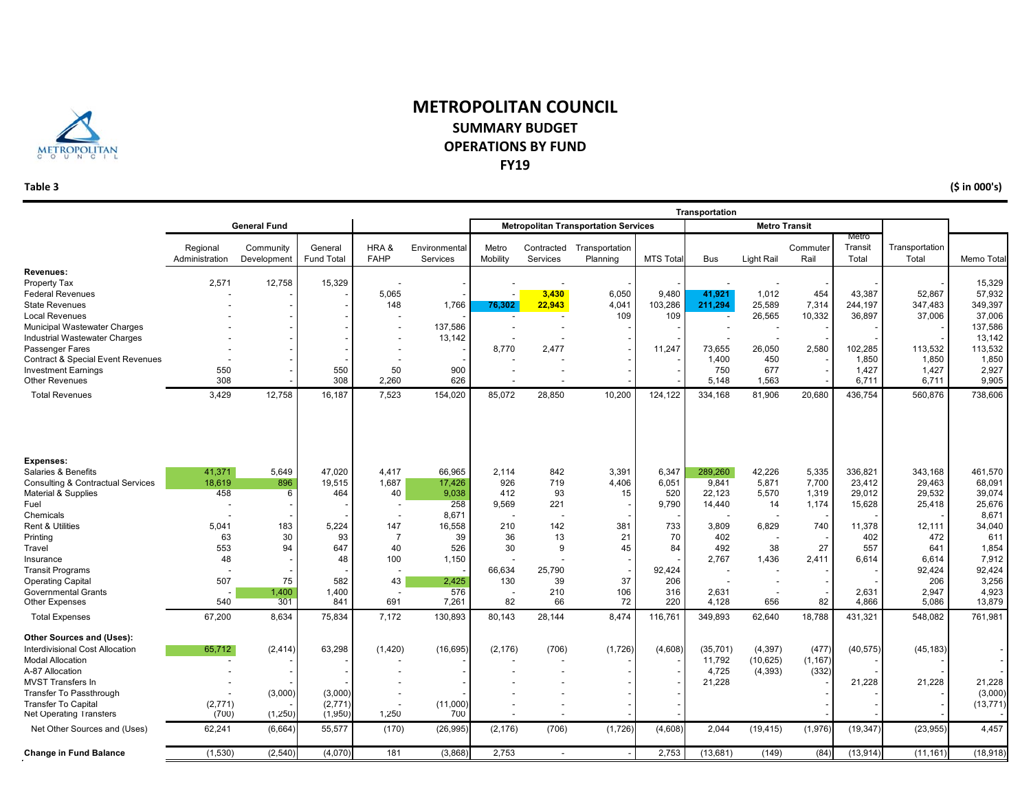

## **METROPOLITAN COUNCIL SUMMARY BUDGETOPERATIONS BY FUND FY19**

**Table 3**

**(\$ in 000's)**

|                                                                                                     |                            |                          |                              |                                 | Transportation            |                                |                        |                                             |                  |                       |                                    |                                |                           |                         |                         |
|-----------------------------------------------------------------------------------------------------|----------------------------|--------------------------|------------------------------|---------------------------------|---------------------------|--------------------------------|------------------------|---------------------------------------------|------------------|-----------------------|------------------------------------|--------------------------------|---------------------------|-------------------------|-------------------------|
|                                                                                                     |                            | <b>General Fund</b>      |                              |                                 |                           |                                |                        | <b>Metropolitan Transportation Services</b> |                  |                       | <b>Metro Transit</b>               |                                |                           |                         |                         |
|                                                                                                     | Regional<br>Administration | Community<br>Development | General<br><b>Fund Total</b> | HRA&<br><b>FAHP</b>             | Environmental<br>Services | Metro<br>Mobility              | Contracted<br>Services | Transportation<br>Planning                  | <b>MTS Tota</b>  | <b>Bus</b>            | Light Rail                         | Commuter<br>Rail               | Metro<br>Transit<br>Total | Transportation<br>Total | Memo Total              |
| Revenues:<br>Property Tax                                                                           | 2,571                      | 12,758                   | 15,329                       |                                 |                           |                                |                        |                                             |                  |                       |                                    |                                |                           |                         | 15,329                  |
| <b>Federal Revenues</b><br><b>State Revenues</b>                                                    |                            |                          |                              | 5,065<br>148                    | 1,766                     | 76,302                         | 3,430<br>22,943        | 6,050<br>4,041                              | 9,480<br>103,286 | 41.921<br>211,294     | 1,012<br>25,589                    | 454<br>7,314                   | 43.387<br>244,197         | 52,867<br>347,483       | 57,932<br>349,397       |
| <b>Local Revenues</b><br>Municipal Wastewater Charges                                               |                            |                          |                              | $\overline{\phantom{a}}$        | 137,586                   |                                |                        | 109                                         | 109              |                       | 26,565<br>$\overline{\phantom{a}}$ | 10,332                         | 36,897                    | 37,006                  | 37,006<br>137,586       |
| Industrial Wastewater Charges<br>Passenger Fares                                                    |                            |                          |                              |                                 | 13,142                    | 8,770                          | 2,477                  |                                             | 11,247           | 73,655                | 26,050                             | 2,580                          | 102,285                   | 113,532                 | 13,142<br>113,532       |
| <b>Contract &amp; Special Event Revenues</b><br><b>Investment Earnings</b><br><b>Other Revenues</b> | 550<br>308                 |                          | 550<br>308                   | 50<br>2,260                     | 900<br>626                |                                |                        |                                             |                  | 1,400<br>750<br>5,148 | 450<br>677<br>1,563                |                                | 1,850<br>1,427<br>6,711   | 1,850<br>1,427<br>6,711 | 1,850<br>2,927<br>9,905 |
| <b>Total Revenues</b>                                                                               | 3,429                      | 12,758                   | 16,187                       | 7,523                           | 154,020                   | 85,072                         | 28,850                 | 10,200                                      | 124,122          | 334,168               | 81,906                             | 20,680                         | 436,754                   | 560,876                 | 738,606                 |
|                                                                                                     |                            |                          |                              |                                 |                           |                                |                        |                                             |                  |                       |                                    |                                |                           |                         |                         |
| <b>Expenses:</b><br>Salaries & Benefits                                                             | 41,371                     | 5.649                    | 47,020                       | 4,417                           | 66,965                    | 2,114                          | 842                    | 3,391                                       | 6,347            | 289,260               | 42,226                             | 5,335                          | 336,821                   | 343,168                 | 461,570                 |
| <b>Consulting &amp; Contractual Services</b><br>Material & Supplies                                 | 18,619<br>458              | 896<br>6                 | 19,515<br>464                | 1,687<br>40                     | 17,426<br>9,038           | 926<br>412                     | 719<br>93              | 4,406<br>15                                 | 6,051<br>520     | 9,841<br>22,123       | 5,871<br>5,570                     | 7,700<br>1,319                 | 23,412<br>29,012          | 29,463<br>29,532        | 68,091<br>39,074        |
| Fuel<br>Chemicals                                                                                   |                            |                          |                              | $\overline{\phantom{a}}$        | 258<br>8.671              | 9,569                          | 221                    |                                             | 9,790            | 14,440                | 14                                 | 1,174                          | 15,628                    | 25,418                  | 25,676<br>8,671         |
| <b>Rent &amp; Utilities</b><br>Printing                                                             | 5,041<br>63                | 183<br>30                | 5.224<br>93                  | 147<br>$\overline{7}$           | 16,558<br>39              | 210<br>36                      | 142<br>13              | 381<br>21                                   | 733<br>70        | 3.809<br>402          | 6,829                              | 740                            | 11,378<br>402             | 12.111<br>472           | 34,040<br>611           |
| Travel<br>Insurance                                                                                 | 553<br>48                  | 94                       | 647<br>48                    | 40<br>100                       | 526<br>1,150              | 30                             | 9                      | 45                                          | 84               | 492<br>2.767          | 38<br>1,436                        | 27<br>2,411                    | 557<br>6,614              | 641<br>6.614            | 1,854<br>7,912          |
| <b>Transit Programs</b><br><b>Operating Capital</b>                                                 | 507                        | 75                       | 582                          | 43                              | 2,425                     | 66,634<br>130                  | 25,790<br>39           | 37                                          | 92,424<br>206    |                       |                                    |                                |                           | 92,424<br>206           | 92,424<br>3,256         |
| <b>Governmental Grants</b><br><b>Other Expenses</b>                                                 | 540                        | 1.400<br>301             | 1,400<br>841                 | $\overline{\phantom{a}}$<br>691 | 576<br>7,261              | $\overline{\phantom{a}}$<br>82 | 210<br>66              | 106<br>72                                   | 316<br>220       | 2,631<br>4,128        | 656                                | $\overline{\phantom{a}}$<br>82 | 2.631<br>4,866            | 2.947<br>5,086          | 4,923<br>13,879         |
| <b>Total Expenses</b>                                                                               | 67,200                     | 8,634                    | 75,834                       | 7,172                           | 130,893                   | 80,143                         | 28,144                 | 8,474                                       | 116,761          | 349,893               | 62,640                             | 18,788                         | 431,321                   | 548,082                 | 761,981                 |
| Other Sources and (Uses):<br>Interdivisional Cost Allocation<br><b>Modal Allocation</b>             | 65,712<br>$\overline{a}$   | (2, 414)                 | 63,298                       | (1,420)                         | (16, 695)                 | (2, 176)                       | (706)                  | (1,726)                                     | (4,608)          | (35, 701)<br>11,792   | (4, 397)<br>(10, 625)              | (477)<br>(1, 167)              | (40, 575)                 | (45, 183)               |                         |
| A-87 Allocation<br><b>MVST Transfers In</b>                                                         |                            |                          |                              |                                 |                           |                                |                        |                                             |                  | 4,725<br>21,228       | (4, 393)                           | (332)                          | 21,228                    | 21,228                  | 21,228                  |
| <b>Transfer To Passthrough</b><br><b>Transfer To Capital</b>                                        | (2,771)                    | (3,000)                  | (3,000)<br>(2,771)           |                                 | (11,000)                  |                                |                        |                                             |                  |                       |                                    |                                |                           |                         | (3,000)<br>(13, 771)    |
| <b>Net Operating Transfers</b><br>Net Other Sources and (Uses)                                      | (700)<br>62,241            | (1,250)<br>(6,664)       | (1,950)<br>55,577            | 1,250<br>(170)                  | 700<br>(26, 995)          | (2, 176)                       | (706)                  | (1,726)                                     | (4,608)          | 2,044                 | (19, 415)                          | (1,976)                        | (19, 347)                 | (23, 955)               | 4,457                   |
| <b>Change in Fund Balance</b>                                                                       | (1,530)                    | (2,540)                  | (4,070)                      | 181                             | (3,868)                   | 2,753                          |                        |                                             | 2,753            | (13,681)              | (149)                              | (84)                           | (13, 914)                 | (11, 161)               | (18, 918)               |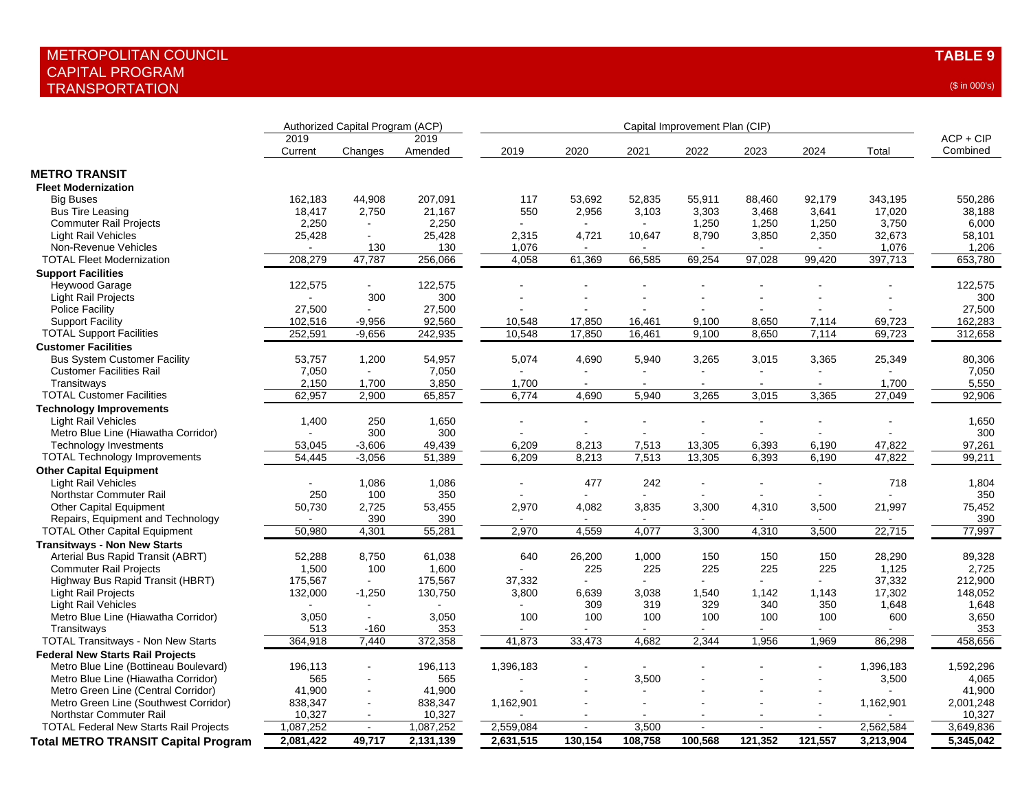|                                                             | Authorized Capital Program (ACP) |                |                 | Capital Improvement Plan (CIP) |         |                |                          |                |                |                 |                         |
|-------------------------------------------------------------|----------------------------------|----------------|-----------------|--------------------------------|---------|----------------|--------------------------|----------------|----------------|-----------------|-------------------------|
|                                                             | 2019<br>Current                  | Changes        | 2019<br>Amended | 2019                           | 2020    | 2021           | 2022                     | 2023           | 2024           | Total           | $ACP + CIP$<br>Combined |
| <b>METRO TRANSIT</b>                                        |                                  |                |                 |                                |         |                |                          |                |                |                 |                         |
| <b>Fleet Modernization</b>                                  |                                  |                |                 |                                |         |                |                          |                |                |                 |                         |
| <b>Big Buses</b>                                            | 162,183                          | 44,908         | 207,091         | 117                            | 53,692  | 52,835         | 55,911                   | 88,460         | 92,179         | 343,195         | 550,286                 |
|                                                             |                                  | 2,750          | 21,167          | 550                            | 2,956   | 3,103          | 3,303                    |                |                |                 | 38,188                  |
| <b>Bus Tire Leasing</b>                                     | 18,417<br>2,250                  |                |                 |                                |         | $\sim$         | 1,250                    | 3,468          | 3,641          | 17,020          |                         |
| <b>Commuter Rail Projects</b><br><b>Light Rail Vehicles</b> | 25,428                           | $\sim$         | 2,250<br>25,428 | 2,315                          | 4,721   | 10,647         | 8,790                    | 1,250<br>3,850 | 1,250<br>2,350 | 3,750<br>32,673 | 6,000<br>58,101         |
|                                                             |                                  |                |                 |                                |         |                |                          |                |                |                 |                         |
| Non-Revenue Vehicles                                        | 208,279                          | 130<br>47,787  | 130             | 1,076<br>4,058                 | 61,369  | 66,585         | 69,254                   | 97,028         |                | 1,076           | 1,206<br>653,780        |
| <b>TOTAL Fleet Modernization</b>                            |                                  |                | 256,066         |                                |         |                |                          |                | 99,420         | 397,713         |                         |
| <b>Support Facilities</b>                                   |                                  |                |                 |                                |         |                |                          |                |                |                 |                         |
| Heywood Garage                                              | 122,575                          | $\blacksquare$ | 122,575         |                                |         |                |                          |                |                |                 | 122,575                 |
| Light Rail Projects                                         |                                  | 300            | 300             |                                |         |                |                          |                |                |                 | 300                     |
| Police Facility                                             | 27,500                           | $\mathbf{r}$   | 27,500          |                                |         |                |                          |                |                |                 | 27,500                  |
| <b>Support Facility</b>                                     | 102,516                          | $-9,956$       | 92,560          | 10,548                         | 17,850  | 16,461         | 9,100                    | 8,650          | 7,114          | 69,723          | 162,283                 |
| <b>TOTAL Support Facilities</b>                             | 252,591                          | $-9,656$       | 242,935         | 10,548                         | 17,850  | 16,461         | 9,100                    | 8,650          | 7,114          | 69,723          | 312,658                 |
| <b>Customer Facilities</b>                                  |                                  |                |                 |                                |         |                |                          |                |                |                 |                         |
| <b>Bus System Customer Facility</b>                         | 53,757                           | 1,200          | 54,957          | 5,074                          | 4,690   | 5,940          | 3,265                    | 3,015          | 3,365          | 25,349          | 80,306                  |
| <b>Customer Facilities Rail</b>                             | 7,050                            | $\sim$         | 7,050           |                                | $\sim$  | $\sim$         | $\overline{\phantom{a}}$ | $\overline{a}$ | $\sim$         |                 | 7,050                   |
| Transitways                                                 | 2,150                            | 1,700          | 3,850           | 1,700                          | $\sim$  | $\sim$         | $\sim$                   | $\sim$         | $\sim$         | 1,700           | 5,550                   |
| <b>TOTAL Customer Facilities</b>                            | 62,957                           | 2,900          | 65,857          | 6,774                          | 4,690   | 5,940          | 3,265                    | 3,015          | 3,365          | 27,049          | 92,906                  |
| <b>Technology Improvements</b>                              |                                  |                |                 |                                |         |                |                          |                |                |                 |                         |
| <b>Light Rail Vehicles</b>                                  | 1,400                            | 250            | 1,650           |                                |         |                |                          |                |                |                 | 1,650                   |
| Metro Blue Line (Hiawatha Corridor)                         |                                  | 300            | 300             |                                |         |                |                          |                |                |                 | 300                     |
| <b>Technology Investments</b>                               | 53,045                           | $-3,606$       | 49,439          | 6,209                          | 8,213   | 7,513          | 13,305                   | 6,393          | 6,190          | 47,822          | 97,261                  |
| <b>TOTAL Technology Improvements</b>                        | 54,445                           | $-3,056$       | 51,389          | 6,209                          | 8,213   | 7,513          | 13,305                   | 6,393          | 6,190          | 47,822          | 99,211                  |
| <b>Other Capital Equipment</b>                              |                                  |                |                 |                                |         |                |                          |                |                |                 |                         |
| <b>Light Rail Vehicles</b>                                  |                                  | 1,086          | 1,086           |                                | 477     | 242            |                          |                |                | 718             | 1,804                   |
| Northstar Commuter Rail                                     | 250                              | 100            | 350             |                                |         | $\overline{a}$ |                          |                |                |                 | 350                     |
| <b>Other Capital Equipment</b>                              | 50,730                           | 2,725          | 53,455          | 2,970                          | 4,082   | 3,835          | 3,300                    | 4,310          | 3,500          | 21,997          | 75,452                  |
| Repairs, Equipment and Technology                           |                                  | 390            | 390             |                                |         |                |                          |                |                |                 | 390                     |
| <b>TOTAL Other Capital Equipment</b>                        | 50,980                           | 4,301          | 55,281          | 2,970                          | 4,559   | 4,077          | 3,300                    | 4,310          | 3,500          | 22,715          | 77,997                  |
| <b>Transitways - Non New Starts</b>                         |                                  |                |                 |                                |         |                |                          |                |                |                 |                         |
| Arterial Bus Rapid Transit (ABRT)                           | 52,288                           | 8,750          | 61,038          | 640                            | 26,200  | 1,000          | 150                      | 150            | 150            | 28,290          | 89,328                  |
| <b>Commuter Rail Projects</b>                               | 1,500                            | 100            | 1,600           |                                | 225     | 225            | 225                      | 225            | 225            | 1,125           | 2,725                   |
| Highway Bus Rapid Transit (HBRT)                            | 175,567                          | $\mathbf{r}$   | 175,567         | 37,332                         |         | $\mathbf{r}$   | $\overline{a}$           |                | $\sim$         | 37,332          | 212,900                 |
| Light Rail Projects                                         | 132,000                          | $-1,250$       | 130,750         | 3,800                          | 6,639   | 3,038          | 1,540                    | 1,142          | 1,143          | 17,302          | 148,052                 |
| <b>Light Rail Vehicles</b>                                  |                                  |                |                 |                                | 309     | 319            | 329                      | 340            | 350            | 1,648           | 1,648                   |
| Metro Blue Line (Hiawatha Corridor)                         | 3,050                            | ÷.             | 3,050           | 100                            | 100     | 100            | 100                      | 100            | 100            | 600             | 3,650                   |
| Transitways                                                 | 513                              | $-160$         | 353             |                                |         | $\blacksquare$ |                          |                |                |                 | 353                     |
| <b>TOTAL Transitways - Non New Starts</b>                   | 364,918                          | 7,440          | 372,358         | 41,873                         | 33,473  | 4,682          | 2,344                    | 1,956          | 1,969          | 86,298          | 458,656                 |
|                                                             |                                  |                |                 |                                |         |                |                          |                |                |                 |                         |
| <b>Federal New Starts Rail Projects</b>                     |                                  |                |                 |                                |         |                |                          |                |                |                 |                         |
| Metro Blue Line (Bottineau Boulevard)                       | 196,113                          |                | 196,113         | 1,396,183                      |         |                |                          |                |                | 1,396,183       | 1,592,296               |
| Metro Blue Line (Hiawatha Corridor)                         | 565                              | ä,             | 565             |                                |         | 3,500          |                          |                |                | 3,500           | 4,065                   |
| Metro Green Line (Central Corridor)                         | 41,900                           |                | 41,900          |                                |         |                |                          |                |                |                 | 41,900                  |
| Metro Green Line (Southwest Corridor)                       | 838,347                          | ä,             | 838,347         | 1,162,901                      |         |                |                          |                |                | 1,162,901       | 2,001,248               |
| Northstar Commuter Rail                                     | 10,327                           | $\blacksquare$ | 10,327          |                                |         | $\blacksquare$ |                          |                |                |                 | 10,327                  |
| <b>TOTAL Federal New Starts Rail Projects</b>               | 1,087,252                        | $\sim$         | 1,087,252       | 2,559,084                      | $\sim$  | 3,500          | $\sim$                   | $\sim$         | $\blacksquare$ | 2,562,584       | 3,649,836               |
| <b>Total METRO TRANSIT Capital Program</b>                  | 2,081,422                        | 49,717         | 2,131,139       | 2,631,515                      | 130,154 | 108,758        | 100,568                  | 121,352        | 121,557        | 3,213,904       | 5,345,042               |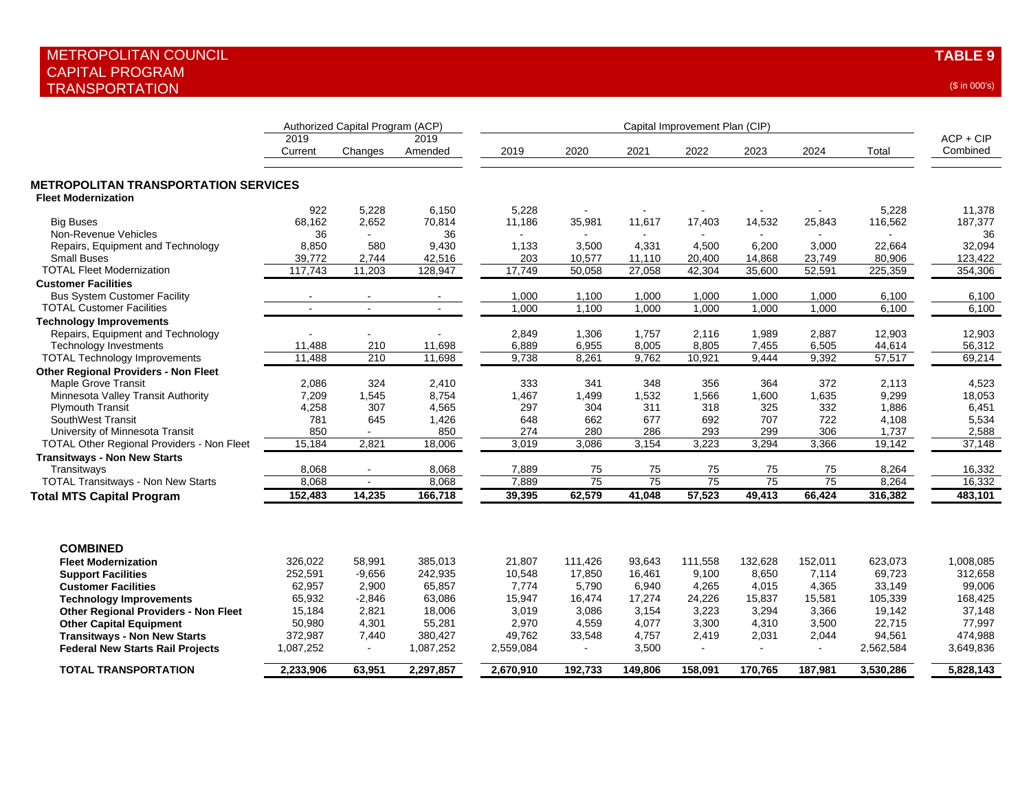| (\$ in 000's |  |  |
|--------------|--|--|
|              |  |  |

|                                                                           | Authorized Capital Program (ACP) |                |                 |           |                 |                 |                 |                |                 |           |                         |
|---------------------------------------------------------------------------|----------------------------------|----------------|-----------------|-----------|-----------------|-----------------|-----------------|----------------|-----------------|-----------|-------------------------|
|                                                                           | 2019<br>Current                  | Changes        | 2019<br>Amended | 2019      | 2020            | 2021            | 2022            | 2023           | 2024            | Total     | $ACP + CIP$<br>Combined |
| <b>METROPOLITAN TRANSPORTATION SERVICES</b><br><b>Fleet Modernization</b> |                                  |                |                 |           |                 |                 |                 |                |                 |           |                         |
|                                                                           | 922                              | 5,228          | 6,150           | 5,228     |                 |                 |                 |                |                 | 5,228     | 11,378                  |
| <b>Big Buses</b>                                                          | 68.162                           | 2,652          | 70,814          | 11,186    | 35,981          | 11,617          | 17,403          | 14,532         | 25,843          | 116,562   | 187,377                 |
| Non-Revenue Vehicles                                                      | 36                               |                | 36              |           |                 | $\sim$          |                 |                |                 |           | 36                      |
| Repairs, Equipment and Technology                                         | 8,850                            | 580            | 9,430           | 1,133     | 3,500           | 4,331           | 4,500           | 6,200          | 3,000           | 22,664    | 32,094                  |
| <b>Small Buses</b>                                                        | 39,772                           | 2,744          | 42,516          | 203       | 10,577          | 11,110          | 20,400          | 14,868         | 23,749          | 80,906    | 123,422                 |
| <b>TOTAL Fleet Modernization</b>                                          | 117,743                          | 11,203         | 128,947         | 17,749    | 50,058          | 27,058          | 42,304          | 35,600         | 52,591          | 225,359   | 354,306                 |
| <b>Customer Facilities</b>                                                |                                  |                |                 |           |                 |                 |                 |                |                 |           |                         |
| <b>Bus System Customer Facility</b>                                       |                                  |                |                 | 1,000     | 1,100           | 1,000           | 1,000           | 1,000          | 1,000           | 6,100     | 6,100                   |
| <b>TOTAL Customer Facilities</b>                                          | ÷.                               | $\mathbf{r}$   | $\overline{a}$  | 1,000     | 1,100           | 1,000           | 1,000           | 1,000          | 1,000           | 6,100     | 6,100                   |
| <b>Technology Improvements</b>                                            |                                  |                |                 |           |                 |                 |                 |                |                 |           |                         |
| Repairs, Equipment and Technology                                         |                                  | ۰              |                 | 2,849     | 1,306           | 1.757           | 2.116           | 1,989          | 2.887           | 12,903    | 12,903                  |
| <b>Technology Investments</b>                                             | 11,488                           | 210            | 11,698          | 6,889     | 6,955           | 8,005           | 8,805           | 7,455          | 6,505           | 44,614    | 56,312                  |
| <b>TOTAL Technology Improvements</b>                                      | 11,488                           | 210            | 11,698          | 9,738     | 8,261           | 9,762           | 10,921          | 9,444          | 9,392           | 57,517    | 69,214                  |
| <b>Other Regional Providers - Non Fleet</b>                               |                                  |                |                 |           |                 |                 |                 |                |                 |           |                         |
| Maple Grove Transit                                                       | 2,086                            | 324            | 2,410           | 333       | 341             | 348             | 356             | 364            | 372             | 2,113     | 4,523                   |
| Minnesota Valley Transit Authority                                        | 7,209                            | 1,545          | 8,754           | 1,467     | 1,499           | 1,532           | 1,566           | 1,600          | 1,635           | 9,299     | 18,053                  |
| <b>Plymouth Transit</b>                                                   | 4,258                            | 307            | 4,565           | 297       | 304             | 311             | 318             | 325            | 332             | 1,886     | 6,451                   |
| SouthWest Transit                                                         | 781                              | 645            | 1,426           | 648       | 662             | 677             | 692             | 707            | 722             | 4,108     | 5,534                   |
| University of Minnesota Transit                                           | 850                              |                | 850             | 274       | 280             | 286             | 293             | 299            | 306             | 1,737     | 2,588                   |
| <b>TOTAL Other Regional Providers - Non Fleet</b>                         | 15,184                           | 2,821          | 18,006          | 3,019     | 3,086           | 3,154           | 3,223           | 3,294          | 3,366           | 19,142    | 37,148                  |
| <b>Transitways - Non New Starts</b>                                       |                                  |                |                 |           |                 |                 |                 |                |                 |           |                         |
| Transitways                                                               | 8,068                            |                | 8,068           | 7,889     | 75              | 75              | 75              | 75             | 75              | 8,264     | 16,332                  |
| <b>TOTAL Transitways - Non New Starts</b>                                 | 8,068                            | $\mathbf{r}$   | 8,068           | 7,889     | $\overline{75}$ | $\overline{75}$ | $\overline{75}$ | 75             | $\overline{75}$ | 8,264     | 16,332                  |
| <b>Total MTS Capital Program</b>                                          | 152,483                          | 14,235         | 166,718         | 39,395    | 62,579          | 41,048          | 57,523          | 49,413         | 66,424          | 316,382   | 483,101                 |
|                                                                           |                                  |                |                 |           |                 |                 |                 |                |                 |           |                         |
| <b>COMBINED</b>                                                           |                                  |                |                 |           |                 |                 |                 |                |                 |           |                         |
| <b>Fleet Modernization</b>                                                | 326,022                          | 58.991         | 385,013         | 21,807    | 111,426         | 93,643          | 111,558         | 132,628        | 152,011         | 623,073   | 1,008,085               |
| <b>Support Facilities</b>                                                 | 252,591                          | $-9,656$       | 242,935         | 10,548    | 17,850          | 16,461          | 9,100           | 8,650          | 7,114           | 69,723    | 312,658                 |
| <b>Customer Facilities</b>                                                | 62,957                           | 2,900          | 65,857          | 7,774     | 5,790           | 6,940           | 4,265           | 4,015          | 4,365           | 33,149    | 99,006                  |
| <b>Technology Improvements</b>                                            | 65,932                           | $-2,846$       | 63,086          | 15,947    | 16,474          | 17,274          | 24,226          | 15,837         | 15,581          | 105,339   | 168,425                 |
| <b>Other Regional Providers - Non Fleet</b>                               | 15,184                           | 2,821          | 18,006          | 3,019     | 3.086           | 3.154           | 3.223           | 3.294          | 3.366           | 19,142    | 37,148                  |
| <b>Other Capital Equipment</b>                                            | 50,980                           | 4,301          | 55,281          | 2,970     | 4,559           | 4,077           | 3,300           | 4,310          | 3,500           | 22,715    | 77,997                  |
| <b>Transitways - Non New Starts</b>                                       | 372,987                          | 7,440          | 380,427         | 49,762    | 33,548          | 4,757           | 2,419           | 2,031          | 2,044           | 94,561    | 474,988                 |
| <b>Federal New Starts Rail Projects</b>                                   | 1,087,252                        | $\blacksquare$ | 1,087,252       | 2,559,084 | $\sim$          | 3,500           | $\sim$          | $\overline{a}$ | $\sim$          | 2,562,584 | 3,649,836               |
| <b>TOTAL TRANSPORTATION</b>                                               | 2,233,906                        | 63,951         | 2,297,857       | 2,670,910 | 192,733         | 149,806         | 158,091         | 170,765        | 187,981         | 3,530,286 | 5,828,143               |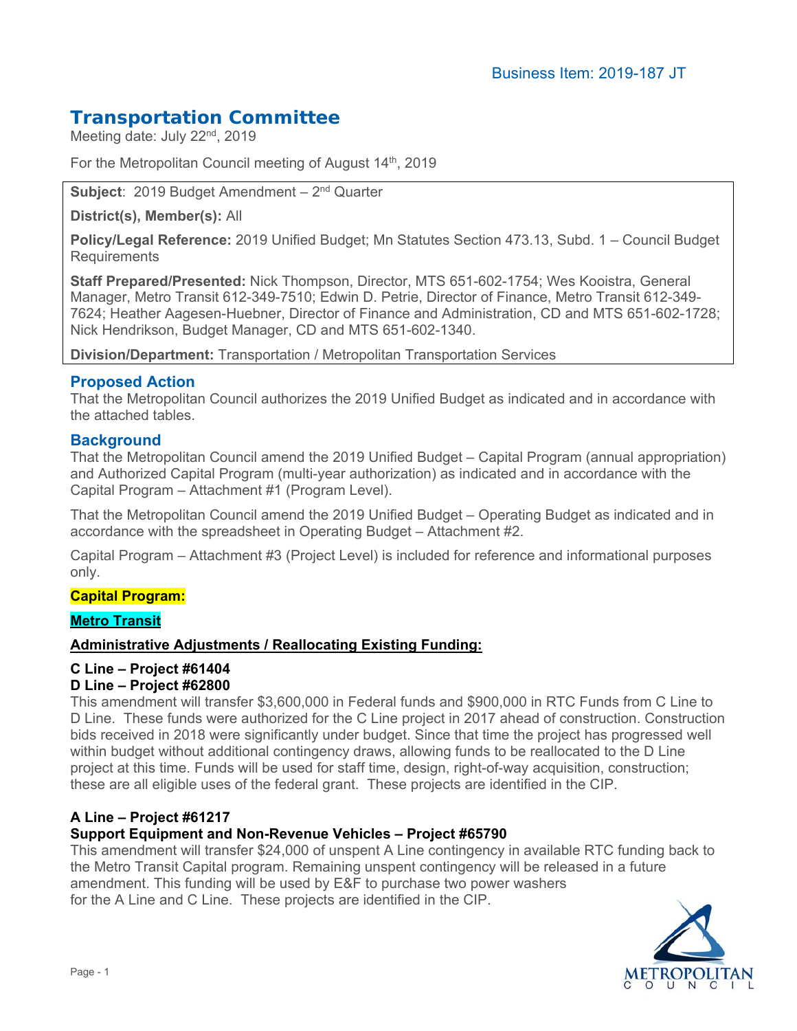# **Transportation Committee**

Meeting date: July 22<sup>nd</sup>, 2019

For the Metropolitan Council meeting of August 14th, 2019

**Subject**: 2019 Budget Amendment – 2nd Quarter

**District(s), Member(s):** All

**Policy/Legal Reference:** 2019 Unified Budget; Mn Statutes Section 473.13, Subd. 1 – Council Budget **Requirements** 

**Staff Prepared/Presented:** Nick Thompson, Director, MTS 651-602-1754; Wes Kooistra, General Manager, Metro Transit 612-349-7510; Edwin D. Petrie, Director of Finance, Metro Transit 612-349- 7624; Heather Aagesen-Huebner, Director of Finance and Administration, CD and MTS 651-602-1728; Nick Hendrikson, Budget Manager, CD and MTS 651-602-1340.

**Division/Department:** Transportation / Metropolitan Transportation Services

# **Proposed Action**

That the Metropolitan Council authorizes the 2019 Unified Budget as indicated and in accordance with the attached tables.

# **Background**

That the Metropolitan Council amend the 2019 Unified Budget – Capital Program (annual appropriation) and Authorized Capital Program (multi-year authorization) as indicated and in accordance with the Capital Program – Attachment #1 (Program Level).

That the Metropolitan Council amend the 2019 Unified Budget – Operating Budget as indicated and in accordance with the spreadsheet in Operating Budget – Attachment #2.

Capital Program – Attachment #3 (Project Level) is included for reference and informational purposes only.

# **Capital Program:**

### **Metro Transit**

### **Administrative Adjustments / Reallocating Existing Funding:**

# **C Line – Project #61404**

### **D Line – Project #62800**

This amendment will transfer \$3,600,000 in Federal funds and \$900,000 in RTC Funds from C Line to D Line. These funds were authorized for the C Line project in 2017 ahead of construction. Construction bids received in 2018 were significantly under budget. Since that time the project has progressed well within budget without additional contingency draws, allowing funds to be reallocated to the D Line project at this time. Funds will be used for staff time, design, right-of-way acquisition, construction; these are all eligible uses of the federal grant. These projects are identified in the CIP.

# **A Line – Project #61217**

### **Support Equipment and Non-Revenue Vehicles – Project #65790**

This amendment will transfer \$24,000 of unspent A Line contingency in available RTC funding back to the Metro Transit Capital program. Remaining unspent contingency will be released in a future amendment. This funding will be used by E&F to purchase two power washers for the A Line and C Line. These projects are identified in the CIP.

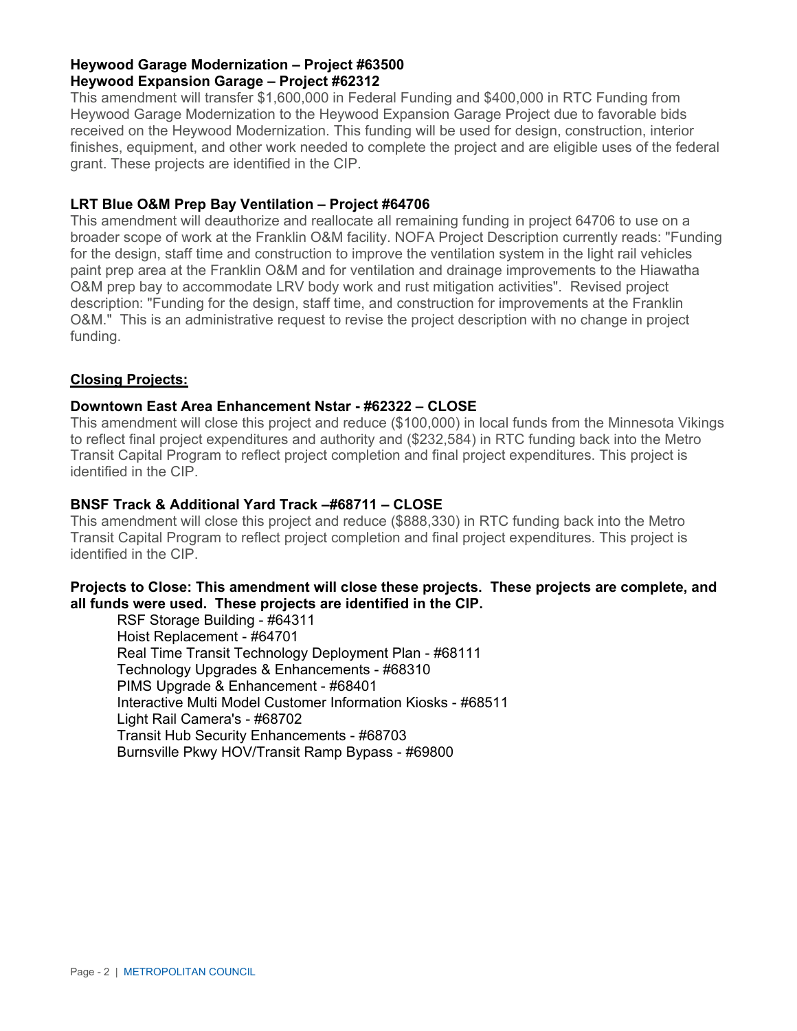### **Heywood Garage Modernization – Project #63500 Heywood Expansion Garage – Project #62312**

This amendment will transfer \$1,600,000 in Federal Funding and \$400,000 in RTC Funding from Heywood Garage Modernization to the Heywood Expansion Garage Project due to favorable bids received on the Heywood Modernization. This funding will be used for design, construction, interior finishes, equipment, and other work needed to complete the project and are eligible uses of the federal grant. These projects are identified in the CIP.

### **LRT Blue O&M Prep Bay Ventilation – Project #64706**

This amendment will deauthorize and reallocate all remaining funding in project 64706 to use on a broader scope of work at the Franklin O&M facility. NOFA Project Description currently reads: "Funding for the design, staff time and construction to improve the ventilation system in the light rail vehicles paint prep area at the Franklin O&M and for ventilation and drainage improvements to the Hiawatha O&M prep bay to accommodate LRV body work and rust mitigation activities". Revised project description: "Funding for the design, staff time, and construction for improvements at the Franklin O&M." This is an administrative request to revise the project description with no change in project funding.

### **Closing Projects:**

### **Downtown East Area Enhancement Nstar - #62322 – CLOSE**

This amendment will close this project and reduce (\$100,000) in local funds from the Minnesota Vikings to reflect final project expenditures and authority and (\$232,584) in RTC funding back into the Metro Transit Capital Program to reflect project completion and final project expenditures. This project is identified in the CIP.

### **BNSF Track & Additional Yard Track –#68711 – CLOSE**

This amendment will close this project and reduce (\$888,330) in RTC funding back into the Metro Transit Capital Program to reflect project completion and final project expenditures. This project is identified in the CIP.

### **Projects to Close: This amendment will close these projects. These projects are complete, and all funds were used. These projects are identified in the CIP.**

RSF Storage Building - #64311 Hoist Replacement - #64701 Real Time Transit Technology Deployment Plan - #68111 Technology Upgrades & Enhancements - #68310 PIMS Upgrade & Enhancement - #68401 Interactive Multi Model Customer Information Kiosks - #68511 Light Rail Camera's - #68702 Transit Hub Security Enhancements - #68703 Burnsville Pkwy HOV/Transit Ramp Bypass - #69800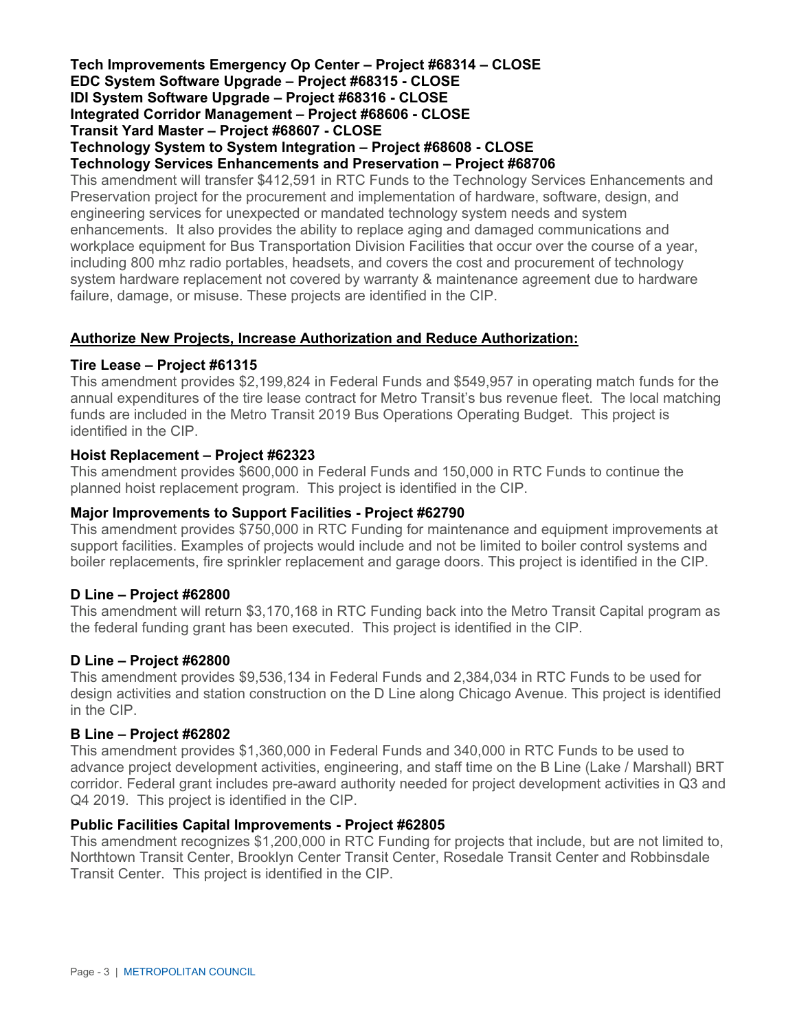#### **Tech Improvements Emergency Op Center – Project #68314 – CLOSE EDC System Software Upgrade – Project #68315 - CLOSE IDI System Software Upgrade – Project #68316 - CLOSE Integrated Corridor Management – Project #68606 - CLOSE Transit Yard Master – Project #68607 - CLOSE Technology System to System Integration – Project #68608 - CLOSE Technology Services Enhancements and Preservation – Project #68706**

This amendment will transfer \$412,591 in RTC Funds to the Technology Services Enhancements and Preservation project for the procurement and implementation of hardware, software, design, and engineering services for unexpected or mandated technology system needs and system enhancements. It also provides the ability to replace aging and damaged communications and workplace equipment for Bus Transportation Division Facilities that occur over the course of a year, including 800 mhz radio portables, headsets, and covers the cost and procurement of technology system hardware replacement not covered by warranty & maintenance agreement due to hardware failure, damage, or misuse. These projects are identified in the CIP.

### **Authorize New Projects, Increase Authorization and Reduce Authorization:**

#### **Tire Lease – Project #61315**

This amendment provides \$2,199,824 in Federal Funds and \$549,957 in operating match funds for the annual expenditures of the tire lease contract for Metro Transit's bus revenue fleet. The local matching funds are included in the Metro Transit 2019 Bus Operations Operating Budget. This project is identified in the CIP.

#### **Hoist Replacement – Project #62323**

This amendment provides \$600,000 in Federal Funds and 150,000 in RTC Funds to continue the planned hoist replacement program. This project is identified in the CIP.

#### **Major Improvements to Support Facilities - Project #62790**

This amendment provides \$750,000 in RTC Funding for maintenance and equipment improvements at support facilities. Examples of projects would include and not be limited to boiler control systems and boiler replacements, fire sprinkler replacement and garage doors. This project is identified in the CIP.

#### **D Line – Project #62800**

This amendment will return \$3,170,168 in RTC Funding back into the Metro Transit Capital program as the federal funding grant has been executed. This project is identified in the CIP.

#### **D Line – Project #62800**

This amendment provides \$9,536,134 in Federal Funds and 2,384,034 in RTC Funds to be used for design activities and station construction on the D Line along Chicago Avenue. This project is identified in the CIP.

#### **B Line – Project #62802**

This amendment provides \$1,360,000 in Federal Funds and 340,000 in RTC Funds to be used to advance project development activities, engineering, and staff time on the B Line (Lake / Marshall) BRT corridor. Federal grant includes pre-award authority needed for project development activities in Q3 and Q4 2019. This project is identified in the CIP.

#### **Public Facilities Capital Improvements - Project #62805**

This amendment recognizes \$1,200,000 in RTC Funding for projects that include, but are not limited to, Northtown Transit Center, Brooklyn Center Transit Center, Rosedale Transit Center and Robbinsdale Transit Center. This project is identified in the CIP.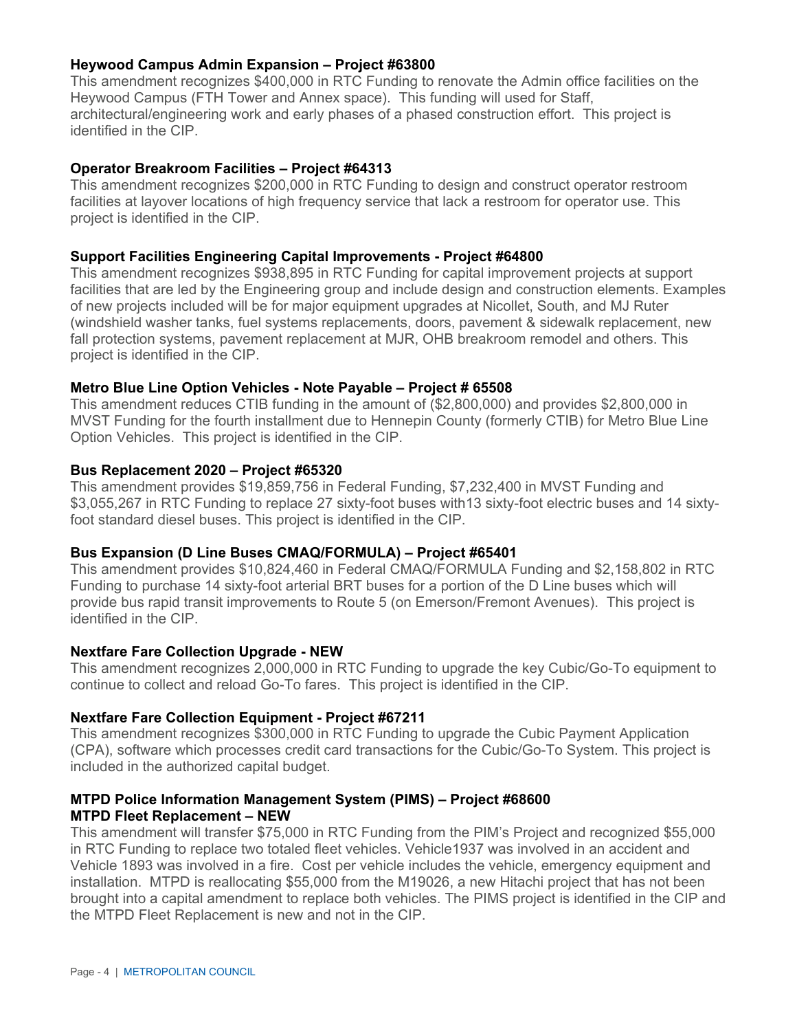### **Heywood Campus Admin Expansion – Project #63800**

This amendment recognizes \$400,000 in RTC Funding to renovate the Admin office facilities on the Heywood Campus (FTH Tower and Annex space). This funding will used for Staff, architectural/engineering work and early phases of a phased construction effort. This project is identified in the CIP.

### **Operator Breakroom Facilities – Project #64313**

This amendment recognizes \$200,000 in RTC Funding to design and construct operator restroom facilities at layover locations of high frequency service that lack a restroom for operator use. This project is identified in the CIP.

#### **Support Facilities Engineering Capital Improvements - Project #64800**

This amendment recognizes \$938,895 in RTC Funding for capital improvement projects at support facilities that are led by the Engineering group and include design and construction elements. Examples of new projects included will be for major equipment upgrades at Nicollet, South, and MJ Ruter (windshield washer tanks, fuel systems replacements, doors, pavement & sidewalk replacement, new fall protection systems, pavement replacement at MJR, OHB breakroom remodel and others. This project is identified in the CIP.

#### **Metro Blue Line Option Vehicles - Note Payable – Project # 65508**

This amendment reduces CTIB funding in the amount of (\$2,800,000) and provides \$2,800,000 in MVST Funding for the fourth installment due to Hennepin County (formerly CTIB) for Metro Blue Line Option Vehicles. This project is identified in the CIP.

#### **Bus Replacement 2020 – Project #65320**

This amendment provides \$19,859,756 in Federal Funding, \$7,232,400 in MVST Funding and \$3,055,267 in RTC Funding to replace 27 sixty-foot buses with13 sixty-foot electric buses and 14 sixtyfoot standard diesel buses. This project is identified in the CIP.

#### **Bus Expansion (D Line Buses CMAQ/FORMULA) – Project #65401**

This amendment provides \$10,824,460 in Federal CMAQ/FORMULA Funding and \$2,158,802 in RTC Funding to purchase 14 sixty-foot arterial BRT buses for a portion of the D Line buses which will provide bus rapid transit improvements to Route 5 (on Emerson/Fremont Avenues). This project is identified in the CIP.

#### **Nextfare Fare Collection Upgrade - NEW**

This amendment recognizes 2,000,000 in RTC Funding to upgrade the key Cubic/Go-To equipment to continue to collect and reload Go-To fares. This project is identified in the CIP.

#### **Nextfare Fare Collection Equipment - Project #67211**

This amendment recognizes \$300,000 in RTC Funding to upgrade the Cubic Payment Application (CPA), software which processes credit card transactions for the Cubic/Go-To System. This project is included in the authorized capital budget.

#### **MTPD Police Information Management System (PIMS) – Project #68600 MTPD Fleet Replacement – NEW**

This amendment will transfer \$75,000 in RTC Funding from the PIM's Project and recognized \$55,000 in RTC Funding to replace two totaled fleet vehicles. Vehicle1937 was involved in an accident and Vehicle 1893 was involved in a fire. Cost per vehicle includes the vehicle, emergency equipment and installation. MTPD is reallocating \$55,000 from the M19026, a new Hitachi project that has not been brought into a capital amendment to replace both vehicles. The PIMS project is identified in the CIP and the MTPD Fleet Replacement is new and not in the CIP.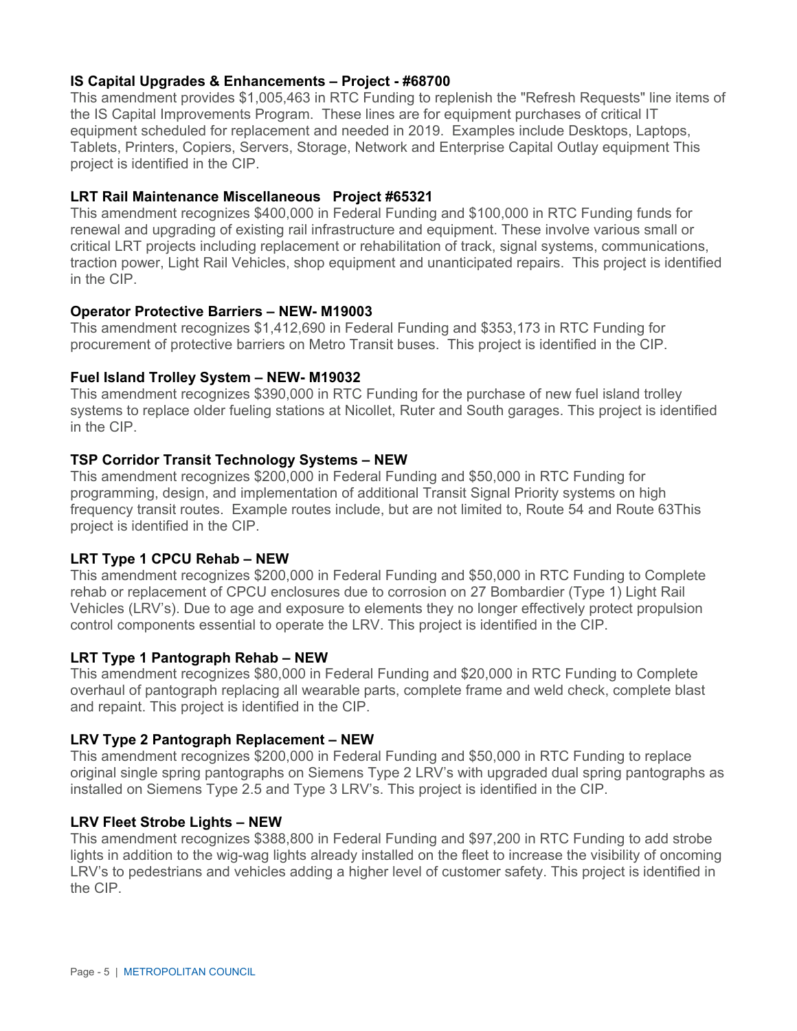### **IS Capital Upgrades & Enhancements – Project - #68700**

This amendment provides \$1,005,463 in RTC Funding to replenish the "Refresh Requests" line items of the IS Capital Improvements Program. These lines are for equipment purchases of critical IT equipment scheduled for replacement and needed in 2019. Examples include Desktops, Laptops, Tablets, Printers, Copiers, Servers, Storage, Network and Enterprise Capital Outlay equipment This project is identified in the CIP.

### **LRT Rail Maintenance Miscellaneous Project #65321**

This amendment recognizes \$400,000 in Federal Funding and \$100,000 in RTC Funding funds for renewal and upgrading of existing rail infrastructure and equipment. These involve various small or critical LRT projects including replacement or rehabilitation of track, signal systems, communications, traction power, Light Rail Vehicles, shop equipment and unanticipated repairs. This project is identified in the CIP.

### **Operator Protective Barriers – NEW- M19003**

This amendment recognizes \$1,412,690 in Federal Funding and \$353,173 in RTC Funding for procurement of protective barriers on Metro Transit buses. This project is identified in the CIP.

### **Fuel Island Trolley System – NEW- M19032**

This amendment recognizes \$390,000 in RTC Funding for the purchase of new fuel island trolley systems to replace older fueling stations at Nicollet, Ruter and South garages. This project is identified in the CIP.

### **TSP Corridor Transit Technology Systems – NEW**

This amendment recognizes \$200,000 in Federal Funding and \$50,000 in RTC Funding for programming, design, and implementation of additional Transit Signal Priority systems on high frequency transit routes. Example routes include, but are not limited to, Route 54 and Route 63This project is identified in the CIP.

# **LRT Type 1 CPCU Rehab – NEW**

This amendment recognizes \$200,000 in Federal Funding and \$50,000 in RTC Funding to Complete rehab or replacement of CPCU enclosures due to corrosion on 27 Bombardier (Type 1) Light Rail Vehicles (LRV's). Due to age and exposure to elements they no longer effectively protect propulsion control components essential to operate the LRV. This project is identified in the CIP.

# **LRT Type 1 Pantograph Rehab – NEW**

This amendment recognizes \$80,000 in Federal Funding and \$20,000 in RTC Funding to Complete overhaul of pantograph replacing all wearable parts, complete frame and weld check, complete blast and repaint. This project is identified in the CIP.

# **LRV Type 2 Pantograph Replacement – NEW**

This amendment recognizes \$200,000 in Federal Funding and \$50,000 in RTC Funding to replace original single spring pantographs on Siemens Type 2 LRV's with upgraded dual spring pantographs as installed on Siemens Type 2.5 and Type 3 LRV's. This project is identified in the CIP.

### **LRV Fleet Strobe Lights – NEW**

This amendment recognizes \$388,800 in Federal Funding and \$97,200 in RTC Funding to add strobe lights in addition to the wig-wag lights already installed on the fleet to increase the visibility of oncoming LRV's to pedestrians and vehicles adding a higher level of customer safety. This project is identified in the CIP.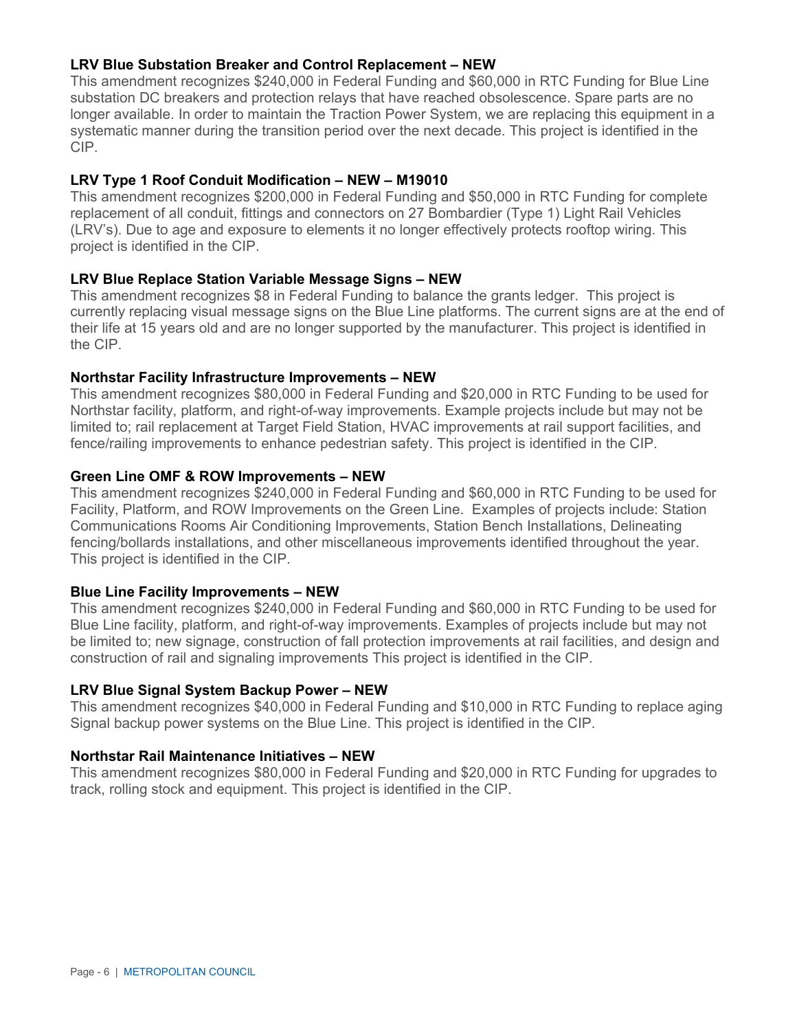### **LRV Blue Substation Breaker and Control Replacement – NEW**

This amendment recognizes \$240,000 in Federal Funding and \$60,000 in RTC Funding for Blue Line substation DC breakers and protection relays that have reached obsolescence. Spare parts are no longer available. In order to maintain the Traction Power System, we are replacing this equipment in a systematic manner during the transition period over the next decade. This project is identified in the CIP.

#### **LRV Type 1 Roof Conduit Modification – NEW – M19010**

This amendment recognizes \$200,000 in Federal Funding and \$50,000 in RTC Funding for complete replacement of all conduit, fittings and connectors on 27 Bombardier (Type 1) Light Rail Vehicles (LRV's). Due to age and exposure to elements it no longer effectively protects rooftop wiring. This project is identified in the CIP.

#### **LRV Blue Replace Station Variable Message Signs – NEW**

This amendment recognizes \$8 in Federal Funding to balance the grants ledger. This project is currently replacing visual message signs on the Blue Line platforms. The current signs are at the end of their life at 15 years old and are no longer supported by the manufacturer. This project is identified in the CIP.

#### **Northstar Facility Infrastructure Improvements – NEW**

This amendment recognizes \$80,000 in Federal Funding and \$20,000 in RTC Funding to be used for Northstar facility, platform, and right-of-way improvements. Example projects include but may not be limited to; rail replacement at Target Field Station, HVAC improvements at rail support facilities, and fence/railing improvements to enhance pedestrian safety. This project is identified in the CIP.

#### **Green Line OMF & ROW Improvements – NEW**

This amendment recognizes \$240,000 in Federal Funding and \$60,000 in RTC Funding to be used for Facility, Platform, and ROW Improvements on the Green Line. Examples of projects include: Station Communications Rooms Air Conditioning Improvements, Station Bench Installations, Delineating fencing/bollards installations, and other miscellaneous improvements identified throughout the year. This project is identified in the CIP.

#### **Blue Line Facility Improvements – NEW**

This amendment recognizes \$240,000 in Federal Funding and \$60,000 in RTC Funding to be used for Blue Line facility, platform, and right-of-way improvements. Examples of projects include but may not be limited to; new signage, construction of fall protection improvements at rail facilities, and design and construction of rail and signaling improvements This project is identified in the CIP.

#### **LRV Blue Signal System Backup Power – NEW**

This amendment recognizes \$40,000 in Federal Funding and \$10,000 in RTC Funding to replace aging Signal backup power systems on the Blue Line. This project is identified in the CIP.

#### **Northstar Rail Maintenance Initiatives – NEW**

This amendment recognizes \$80,000 in Federal Funding and \$20,000 in RTC Funding for upgrades to track, rolling stock and equipment. This project is identified in the CIP.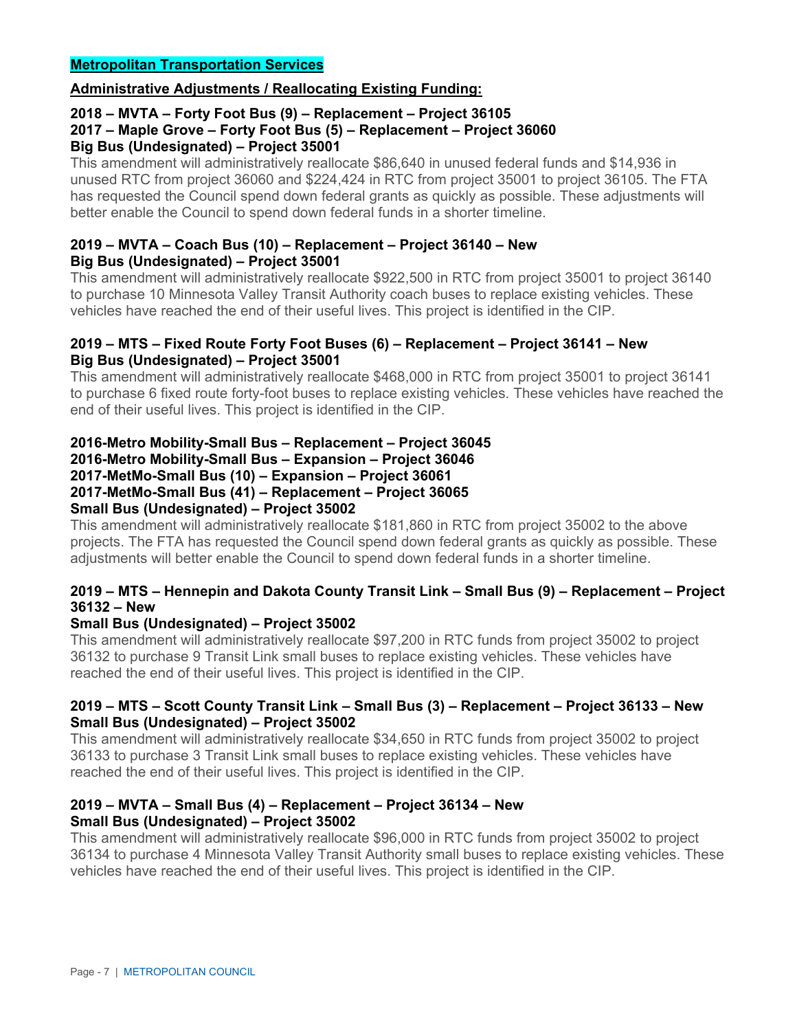### **Administrative Adjustments / Reallocating Existing Funding:**

#### **2018 – MVTA – Forty Foot Bus (9) – Replacement – Project 36105 2017 – Maple Grove – Forty Foot Bus (5) – Replacement – Project 36060 Big Bus (Undesignated) – Project 35001**

This amendment will administratively reallocate \$86,640 in unused federal funds and \$14,936 in unused RTC from project 36060 and \$224,424 in RTC from project 35001 to project 36105. The FTA has requested the Council spend down federal grants as quickly as possible. These adjustments will better enable the Council to spend down federal funds in a shorter timeline.

### **2019 – MVTA – Coach Bus (10) – Replacement – Project 36140 – New Big Bus (Undesignated) – Project 35001**

This amendment will administratively reallocate \$922,500 in RTC from project 35001 to project 36140 to purchase 10 Minnesota Valley Transit Authority coach buses to replace existing vehicles. These vehicles have reached the end of their useful lives. This project is identified in the CIP.

### **2019 – MTS – Fixed Route Forty Foot Buses (6) – Replacement – Project 36141 – New Big Bus (Undesignated) – Project 35001**

This amendment will administratively reallocate \$468,000 in RTC from project 35001 to project 36141 to purchase 6 fixed route forty-foot buses to replace existing vehicles. These vehicles have reached the end of their useful lives. This project is identified in the CIP.

# **2016-Metro Mobility-Small Bus – Replacement – Project 36045 2016-Metro Mobility-Small Bus – Expansion – Project 36046**

#### **2017-MetMo-Small Bus (10) – Expansion – Project 36061 2017-MetMo-Small Bus (41) – Replacement – Project 36065 Small Bus (Undesignated) – Project 35002**

This amendment will administratively reallocate \$181,860 in RTC from project 35002 to the above projects. The FTA has requested the Council spend down federal grants as quickly as possible. These adjustments will better enable the Council to spend down federal funds in a shorter timeline.

### **2019 – MTS – Hennepin and Dakota County Transit Link – Small Bus (9) – Replacement – Project 36132 – New**

# **Small Bus (Undesignated) – Project 35002**

This amendment will administratively reallocate \$97,200 in RTC funds from project 35002 to project 36132 to purchase 9 Transit Link small buses to replace existing vehicles. These vehicles have reached the end of their useful lives. This project is identified in the CIP.

### **2019 – MTS – Scott County Transit Link – Small Bus (3) – Replacement – Project 36133 – New Small Bus (Undesignated) – Project 35002**

This amendment will administratively reallocate \$34,650 in RTC funds from project 35002 to project 36133 to purchase 3 Transit Link small buses to replace existing vehicles. These vehicles have reached the end of their useful lives. This project is identified in the CIP.

### **2019 – MVTA – Small Bus (4) – Replacement – Project 36134 – New Small Bus (Undesignated) – Project 35002**

This amendment will administratively reallocate \$96,000 in RTC funds from project 35002 to project 36134 to purchase 4 Minnesota Valley Transit Authority small buses to replace existing vehicles. These vehicles have reached the end of their useful lives. This project is identified in the CIP.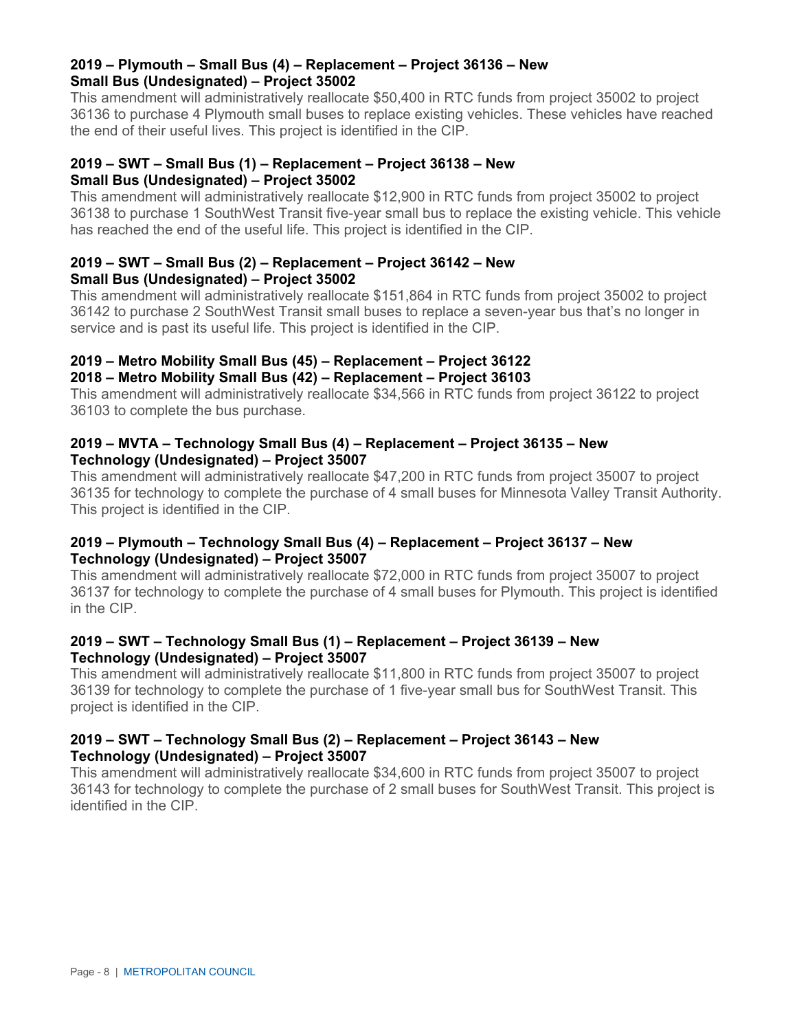### **2019 – Plymouth – Small Bus (4) – Replacement – Project 36136 – New Small Bus (Undesignated) – Project 35002**

This amendment will administratively reallocate \$50,400 in RTC funds from project 35002 to project 36136 to purchase 4 Plymouth small buses to replace existing vehicles. These vehicles have reached the end of their useful lives. This project is identified in the CIP.

### **2019 – SWT – Small Bus (1) – Replacement – Project 36138 – New Small Bus (Undesignated) – Project 35002**

This amendment will administratively reallocate \$12,900 in RTC funds from project 35002 to project 36138 to purchase 1 SouthWest Transit five-year small bus to replace the existing vehicle. This vehicle has reached the end of the useful life. This project is identified in the CIP.

### **2019 – SWT – Small Bus (2) – Replacement – Project 36142 – New Small Bus (Undesignated) – Project 35002**

This amendment will administratively reallocate \$151,864 in RTC funds from project 35002 to project 36142 to purchase 2 SouthWest Transit small buses to replace a seven-year bus that's no longer in service and is past its useful life. This project is identified in the CIP.

# **2019 – Metro Mobility Small Bus (45) – Replacement – Project 36122 2018 – Metro Mobility Small Bus (42) – Replacement – Project 36103**

This amendment will administratively reallocate \$34,566 in RTC funds from project 36122 to project 36103 to complete the bus purchase.

### **2019 – MVTA – Technology Small Bus (4) – Replacement – Project 36135 – New Technology (Undesignated) – Project 35007**

This amendment will administratively reallocate \$47,200 in RTC funds from project 35007 to project 36135 for technology to complete the purchase of 4 small buses for Minnesota Valley Transit Authority. This project is identified in the CIP.

### **2019 – Plymouth – Technology Small Bus (4) – Replacement – Project 36137 – New Technology (Undesignated) – Project 35007**

This amendment will administratively reallocate \$72,000 in RTC funds from project 35007 to project 36137 for technology to complete the purchase of 4 small buses for Plymouth. This project is identified in the CIP.

### **2019 – SWT – Technology Small Bus (1) – Replacement – Project 36139 – New Technology (Undesignated) – Project 35007**

This amendment will administratively reallocate \$11,800 in RTC funds from project 35007 to project 36139 for technology to complete the purchase of 1 five-year small bus for SouthWest Transit. This project is identified in the CIP.

### **2019 – SWT – Technology Small Bus (2) – Replacement – Project 36143 – New Technology (Undesignated) – Project 35007**

This amendment will administratively reallocate \$34,600 in RTC funds from project 35007 to project 36143 for technology to complete the purchase of 2 small buses for SouthWest Transit. This project is identified in the CIP.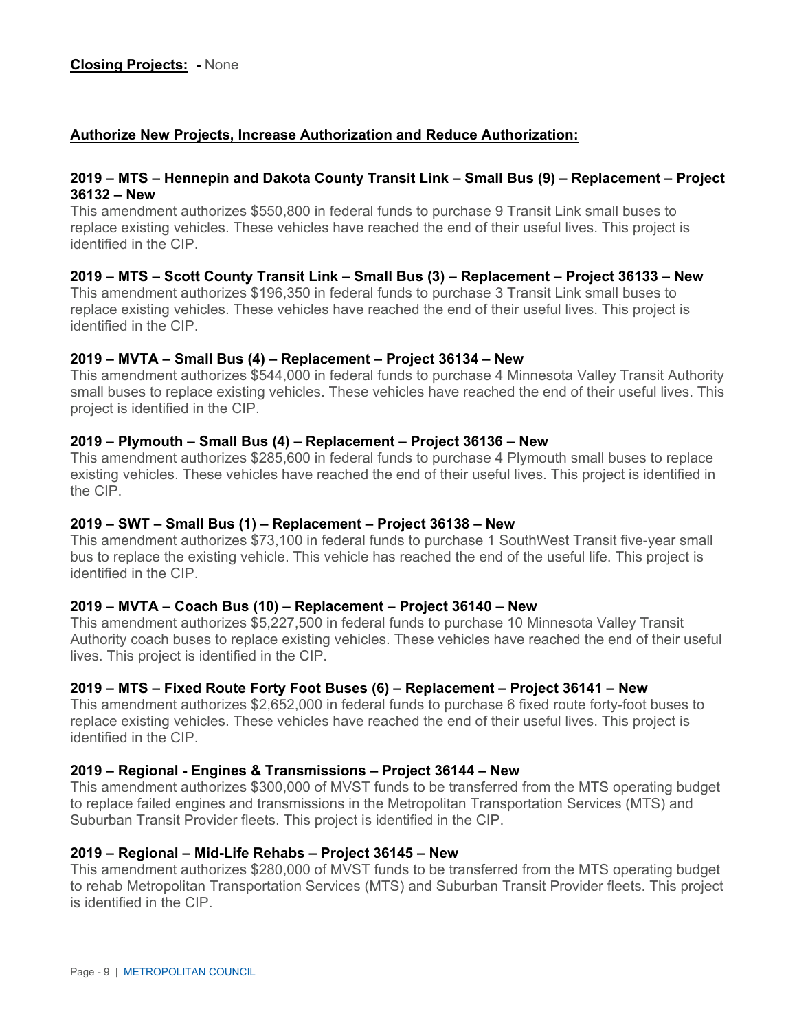### **Authorize New Projects, Increase Authorization and Reduce Authorization:**

#### **2019 – MTS – Hennepin and Dakota County Transit Link – Small Bus (9) – Replacement – Project 36132 – New**

This amendment authorizes \$550,800 in federal funds to purchase 9 Transit Link small buses to replace existing vehicles. These vehicles have reached the end of their useful lives. This project is identified in the CIP.

### **2019 – MTS – Scott County Transit Link – Small Bus (3) – Replacement – Project 36133 – New**

This amendment authorizes \$196,350 in federal funds to purchase 3 Transit Link small buses to replace existing vehicles. These vehicles have reached the end of their useful lives. This project is identified in the CIP.

#### **2019 – MVTA – Small Bus (4) – Replacement – Project 36134 – New**

This amendment authorizes \$544,000 in federal funds to purchase 4 Minnesota Valley Transit Authority small buses to replace existing vehicles. These vehicles have reached the end of their useful lives. This project is identified in the CIP.

#### **2019 – Plymouth – Small Bus (4) – Replacement – Project 36136 – New**

This amendment authorizes \$285,600 in federal funds to purchase 4 Plymouth small buses to replace existing vehicles. These vehicles have reached the end of their useful lives. This project is identified in the CIP.

#### **2019 – SWT – Small Bus (1) – Replacement – Project 36138 – New**

This amendment authorizes \$73,100 in federal funds to purchase 1 SouthWest Transit five-year small bus to replace the existing vehicle. This vehicle has reached the end of the useful life. This project is identified in the CIP.

#### **2019 – MVTA – Coach Bus (10) – Replacement – Project 36140 – New**

This amendment authorizes \$5,227,500 in federal funds to purchase 10 Minnesota Valley Transit Authority coach buses to replace existing vehicles. These vehicles have reached the end of their useful lives. This project is identified in the CIP.

#### **2019 – MTS – Fixed Route Forty Foot Buses (6) – Replacement – Project 36141 – New**

This amendment authorizes \$2,652,000 in federal funds to purchase 6 fixed route forty-foot buses to replace existing vehicles. These vehicles have reached the end of their useful lives. This project is identified in the CIP.

#### **2019 – Regional - Engines & Transmissions – Project 36144 – New**

This amendment authorizes \$300,000 of MVST funds to be transferred from the MTS operating budget to replace failed engines and transmissions in the Metropolitan Transportation Services (MTS) and Suburban Transit Provider fleets. This project is identified in the CIP.

#### **2019 – Regional – Mid-Life Rehabs – Project 36145 – New**

This amendment authorizes \$280,000 of MVST funds to be transferred from the MTS operating budget to rehab Metropolitan Transportation Services (MTS) and Suburban Transit Provider fleets. This project is identified in the CIP.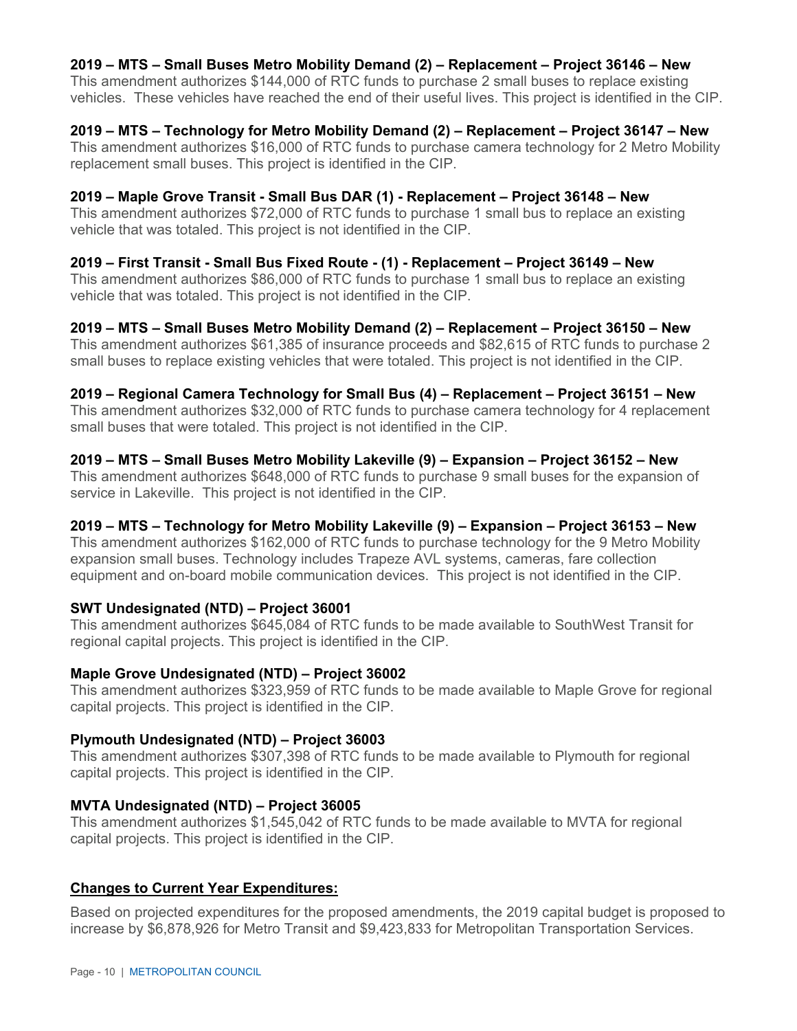### **2019 – MTS – Small Buses Metro Mobility Demand (2) – Replacement – Project 36146 – New**

This amendment authorizes \$144,000 of RTC funds to purchase 2 small buses to replace existing vehicles. These vehicles have reached the end of their useful lives. This project is identified in the CIP.

#### **2019 – MTS – Technology for Metro Mobility Demand (2) – Replacement – Project 36147 – New**

This amendment authorizes \$16,000 of RTC funds to purchase camera technology for 2 Metro Mobility replacement small buses. This project is identified in the CIP.

### **2019 – Maple Grove Transit - Small Bus DAR (1) - Replacement – Project 36148 – New**

This amendment authorizes \$72,000 of RTC funds to purchase 1 small bus to replace an existing vehicle that was totaled. This project is not identified in the CIP.

### **2019 – First Transit - Small Bus Fixed Route - (1) - Replacement – Project 36149 – New**

This amendment authorizes \$86,000 of RTC funds to purchase 1 small bus to replace an existing vehicle that was totaled. This project is not identified in the CIP.

### **2019 – MTS – Small Buses Metro Mobility Demand (2) – Replacement – Project 36150 – New**

This amendment authorizes \$61,385 of insurance proceeds and \$82,615 of RTC funds to purchase 2 small buses to replace existing vehicles that were totaled. This project is not identified in the CIP.

#### **2019 – Regional Camera Technology for Small Bus (4) – Replacement – Project 36151 – New**

This amendment authorizes \$32,000 of RTC funds to purchase camera technology for 4 replacement small buses that were totaled. This project is not identified in the CIP.

### **2019 – MTS – Small Buses Metro Mobility Lakeville (9) – Expansion – Project 36152 – New**

This amendment authorizes \$648,000 of RTC funds to purchase 9 small buses for the expansion of service in Lakeville. This project is not identified in the CIP.

### **2019 – MTS – Technology for Metro Mobility Lakeville (9) – Expansion – Project 36153 – New**

This amendment authorizes \$162,000 of RTC funds to purchase technology for the 9 Metro Mobility expansion small buses. Technology includes Trapeze AVL systems, cameras, fare collection equipment and on-board mobile communication devices. This project is not identified in the CIP.

### **SWT Undesignated (NTD) – Project 36001**

This amendment authorizes \$645,084 of RTC funds to be made available to SouthWest Transit for regional capital projects. This project is identified in the CIP.

### **Maple Grove Undesignated (NTD) – Project 36002**

This amendment authorizes \$323,959 of RTC funds to be made available to Maple Grove for regional capital projects. This project is identified in the CIP.

### **Plymouth Undesignated (NTD) – Project 36003**

This amendment authorizes \$307,398 of RTC funds to be made available to Plymouth for regional capital projects. This project is identified in the CIP.

### **MVTA Undesignated (NTD) – Project 36005**

This amendment authorizes \$1,545,042 of RTC funds to be made available to MVTA for regional capital projects. This project is identified in the CIP.

### **Changes to Current Year Expenditures:**

Based on projected expenditures for the proposed amendments, the 2019 capital budget is proposed to increase by \$6,878,926 for Metro Transit and \$9,423,833 for Metropolitan Transportation Services.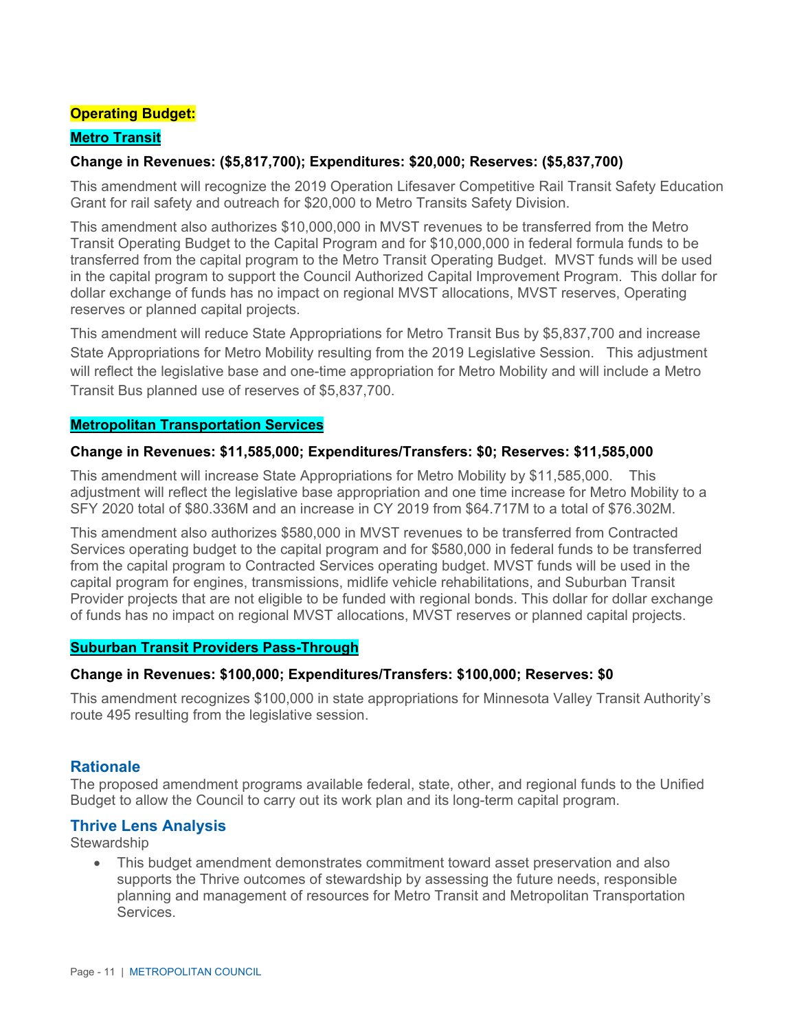## **Operating Budget:**

### **Metro Transit**

### **Change in Revenues: (\$5,817,700); Expenditures: \$20,000; Reserves: (\$5,837,700)**

This amendment will recognize the 2019 Operation Lifesaver Competitive Rail Transit Safety Education Grant for rail safety and outreach for \$20,000 to Metro Transits Safety Division.

This amendment also authorizes \$10,000,000 in MVST revenues to be transferred from the Metro Transit Operating Budget to the Capital Program and for \$10,000,000 in federal formula funds to be transferred from the capital program to the Metro Transit Operating Budget. MVST funds will be used in the capital program to support the Council Authorized Capital Improvement Program. This dollar for dollar exchange of funds has no impact on regional MVST allocations, MVST reserves, Operating reserves or planned capital projects.

This amendment will reduce State Appropriations for Metro Transit Bus by \$5,837,700 and increase State Appropriations for Metro Mobility resulting from the 2019 Legislative Session. This adjustment will reflect the legislative base and one-time appropriation for Metro Mobility and will include a Metro Transit Bus planned use of reserves of \$5,837,700.

#### **Metropolitan Transportation Services**

#### **Change in Revenues: \$11,585,000; Expenditures/Transfers: \$0; Reserves: \$11,585,000**

This amendment will increase State Appropriations for Metro Mobility by \$11,585,000. This adjustment will reflect the legislative base appropriation and one time increase for Metro Mobility to a SFY 2020 total of \$80.336M and an increase in CY 2019 from \$64.717M to a total of \$76.302M.

This amendment also authorizes \$580,000 in MVST revenues to be transferred from Contracted Services operating budget to the capital program and for \$580,000 in federal funds to be transferred from the capital program to Contracted Services operating budget. MVST funds will be used in the capital program for engines, transmissions, midlife vehicle rehabilitations, and Suburban Transit Provider projects that are not eligible to be funded with regional bonds. This dollar for dollar exchange of funds has no impact on regional MVST allocations, MVST reserves or planned capital projects.

### **Suburban Transit Providers Pass-Through**

#### **Change in Revenues: \$100,000; Expenditures/Transfers: \$100,000; Reserves: \$0**

This amendment recognizes \$100,000 in state appropriations for Minnesota Valley Transit Authority's route 495 resulting from the legislative session.

### **Rationale**

The proposed amendment programs available federal, state, other, and regional funds to the Unified Budget to allow the Council to carry out its work plan and its long-term capital program.

### **Thrive Lens Analysis**

**Stewardship** 

 This budget amendment demonstrates commitment toward asset preservation and also supports the Thrive outcomes of stewardship by assessing the future needs, responsible planning and management of resources for Metro Transit and Metropolitan Transportation **Services**